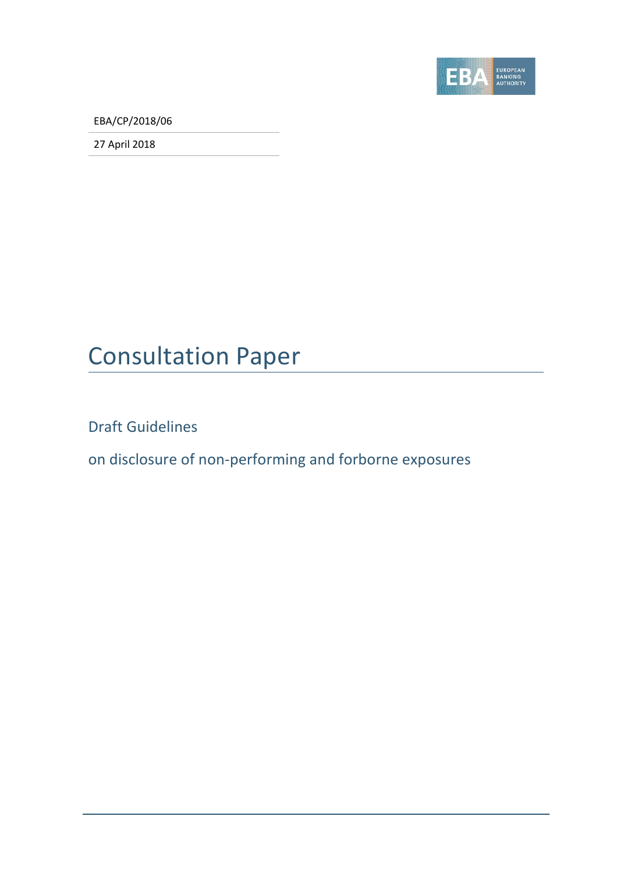

EBA/CP/2018/06

27 April 2018

# Consultation Paper

Draft Guidelines

on disclosure of non-performing and forborne exposures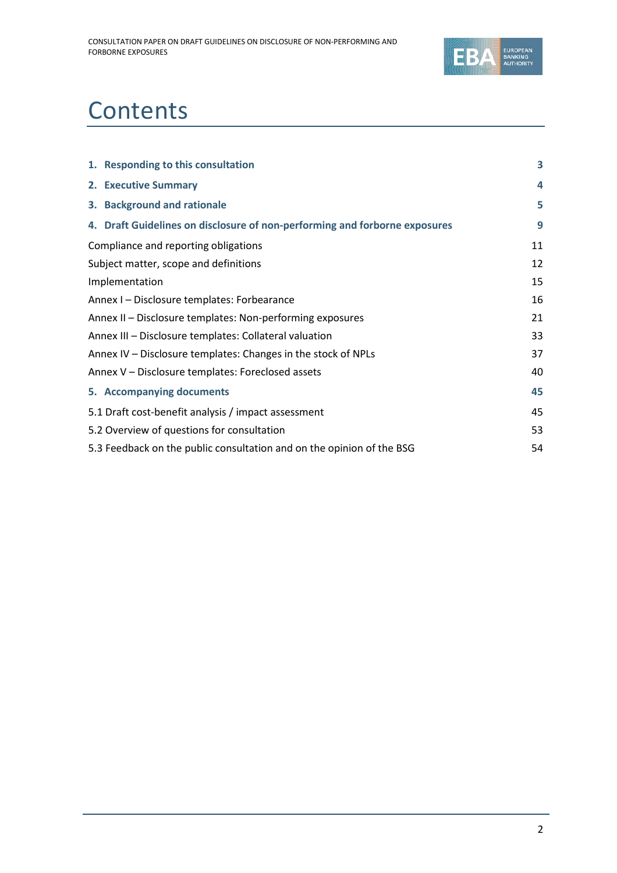

# **Contents**

| 1. Responding to this consultation                                         | 3  |
|----------------------------------------------------------------------------|----|
| 2. Executive Summary                                                       | 4  |
| 3. Background and rationale                                                | 5  |
| 4. Draft Guidelines on disclosure of non-performing and forborne exposures | 9  |
| Compliance and reporting obligations                                       | 11 |
| Subject matter, scope and definitions                                      | 12 |
| Implementation                                                             | 15 |
| Annex I - Disclosure templates: Forbearance                                | 16 |
| Annex II - Disclosure templates: Non-performing exposures                  | 21 |
| Annex III - Disclosure templates: Collateral valuation                     | 33 |
| Annex IV - Disclosure templates: Changes in the stock of NPLs              | 37 |
| Annex V - Disclosure templates: Foreclosed assets                          | 40 |
| 5. Accompanying documents                                                  | 45 |
| 5.1 Draft cost-benefit analysis / impact assessment                        | 45 |
| 5.2 Overview of questions for consultation                                 | 53 |
| 5.3 Feedback on the public consultation and on the opinion of the BSG      | 54 |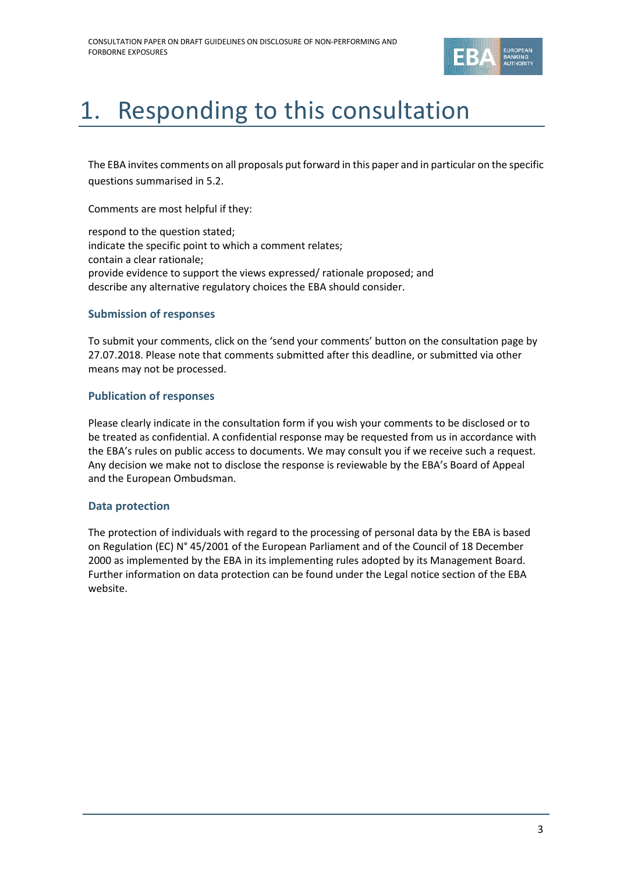

# <span id="page-2-0"></span>1. Responding to this consultation

The EBA invites comments on all proposals put forward in this paper and in particular on the specific questions summarised in 5.2.

Comments are most helpful if they:

respond to the question stated; indicate the specific point to which a comment relates; contain a clear rationale; provide evidence to support the views expressed/ rationale proposed; and describe any alternative regulatory choices the EBA should consider.

### **Submission of responses**

To submit your comments, click on the 'send your comments' button on the consultation page by 27.07.2018. Please note that comments submitted after this deadline, or submitted via other means may not be processed.

### **Publication of responses**

Please clearly indicate in the consultation form if you wish your comments to be disclosed or to be treated as confidential. A confidential response may be requested from us in accordance with the EBA's rules on public access to documents. We may consult you if we receive such a request. Any decision we make not to disclose the response is reviewable by the EBA's Board of Appeal and the European Ombudsman.

### **Data protection**

The protection of individuals with regard to the processing of personal data by the EBA is based on Regulation (EC) N° 45/2001 of the European Parliament and of the Council of 18 December 2000 as implemented by the EBA in its implementing rules adopted by its Management Board. Further information on data protection can be found under the [Legal notice section](http://eba.europa.eu/legal-notice) of the EBA website.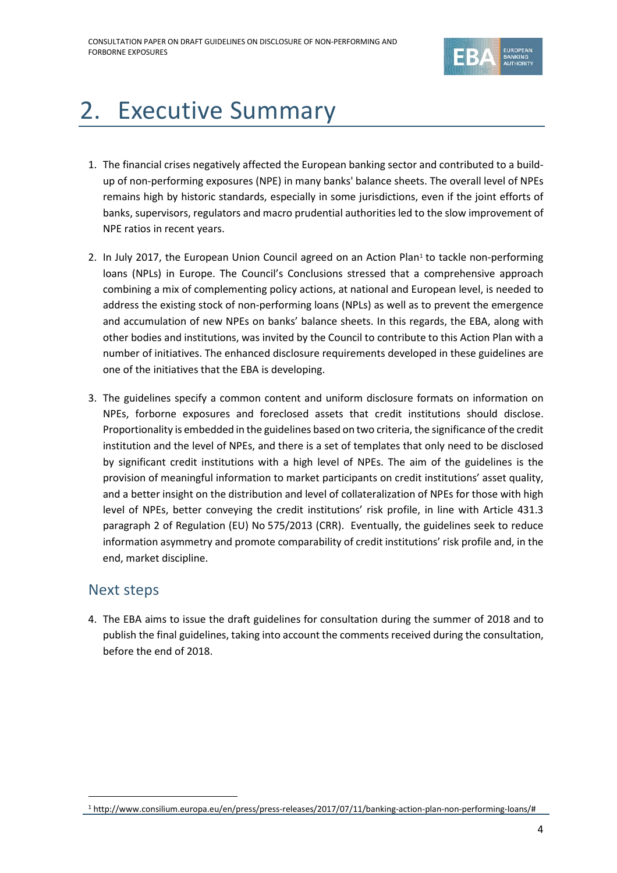

# <span id="page-3-0"></span>2. Executive Summary

- 1. The financial crises negatively affected the European banking sector and contributed to a buildup of non-performing exposures (NPE) in many banks' balance sheets. The overall level of NPEs remains high by historic standards, especially in some jurisdictions, even if the joint efforts of banks, supervisors, regulators and macro prudential authorities led to the slow improvement of NPE ratios in recent years.
- 2. In July 20[1](#page-3-1)7, the European Union Council agreed on an Action Plan<sup>1</sup> to tackle non-performing loans (NPLs) in Europe. The Council's Conclusions stressed that a comprehensive approach combining a mix of complementing policy actions, at national and European level, is needed to address the existing stock of non-performing loans (NPLs) as well as to prevent the emergence and accumulation of new NPEs on banks' balance sheets. In this regards, the EBA, along with other bodies and institutions, was invited by the Council to contribute to this Action Plan with a number of initiatives. The enhanced disclosure requirements developed in these guidelines are one of the initiatives that the EBA is developing.
- 3. The guidelines specify a common content and uniform disclosure formats on information on NPEs, forborne exposures and foreclosed assets that credit institutions should disclose. Proportionality is embedded in the guidelines based on two criteria, the significance of the credit institution and the level of NPEs, and there is a set of templates that only need to be disclosed by significant credit institutions with a high level of NPEs. The aim of the guidelines is the provision of meaningful information to market participants on credit institutions' asset quality, and a better insight on the distribution and level of collateralization of NPEs for those with high level of NPEs, better conveying the credit institutions' risk profile, in line with Article 431.3 paragraph 2 of Regulation (EU) No 575/2013 (CRR). Eventually, the guidelines seek to reduce information asymmetry and promote comparability of credit institutions' risk profile and, in the end, market discipline.

## Next steps

4. The EBA aims to issue the draft guidelines for consultation during the summer of 2018 and to publish the final guidelines, taking into account the comments received during the consultation, before the end of 2018.

<span id="page-3-1"></span><sup>1</sup> http://www.consilium.europa.eu/en/press/press-releases/2017/07/11/banking-action-plan-non-performing-loans/#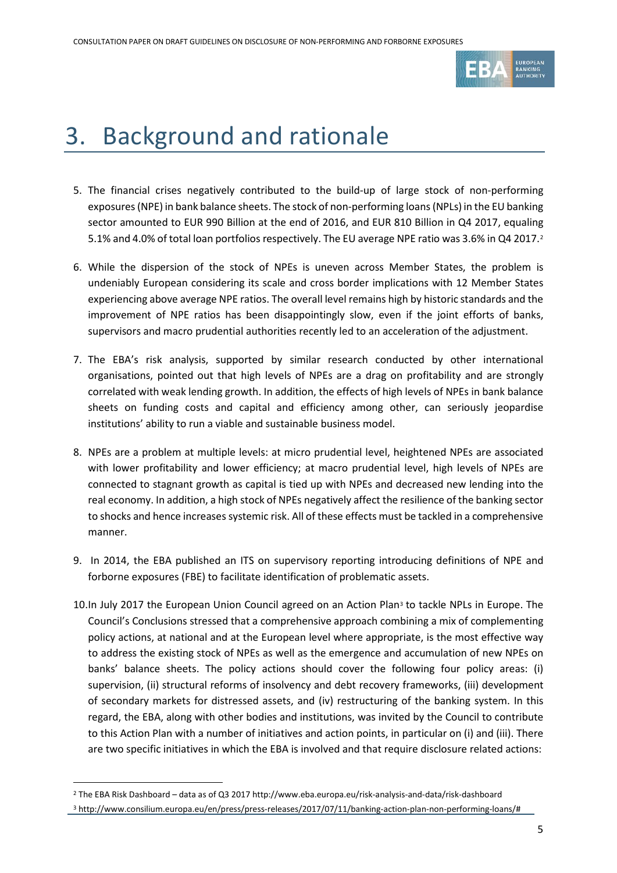

# <span id="page-4-0"></span>3. Background and rationale

- 5. The financial crises negatively contributed to the build-up of large stock of non-performing exposures(NPE) in bank balance sheets. The stock of non-performing loans (NPLs) in the EU banking sector amounted to EUR 990 Billion at the end of 2016, and EUR 810 Billion in Q4 2017, equaling 5.1% and 4.0% of total loan portfolios respectively. The EU average NPE ratio was 3.6% in Q4 2017.[2](#page-4-1)
- 6. While the dispersion of the stock of NPEs is uneven across Member States, the problem is undeniably European considering its scale and cross border implications with 12 Member States experiencing above average NPE ratios. The overall level remains high by historic standards and the improvement of NPE ratios has been disappointingly slow, even if the joint efforts of banks, supervisors and macro prudential authorities recently led to an acceleration of the adjustment.
- 7. The EBA's risk analysis, supported by similar research conducted by other international organisations, pointed out that high levels of NPEs are a drag on profitability and are strongly correlated with weak lending growth. In addition, the effects of high levels of NPEs in bank balance sheets on funding costs and capital and efficiency among other, can seriously jeopardise institutions' ability to run a viable and sustainable business model.
- 8. NPEs are a problem at multiple levels: at micro prudential level, heightened NPEs are associated with lower profitability and lower efficiency; at macro prudential level, high levels of NPEs are connected to stagnant growth as capital is tied up with NPEs and decreased new lending into the real economy. In addition, a high stock of NPEs negatively affect the resilience of the banking sector to shocks and hence increases systemic risk. All of these effects must be tackled in a comprehensive manner.
- 9. In 2014, the EBA published an ITS on supervisory reporting introducing definitions of NPE and forborne exposures (FBE) to facilitate identification of problematic assets.
- 10.In July 2017 the European Union Council agreed on an Action Plan<sup>[3](#page-4-2)</sup> to tackle NPLs in Europe. The Council's Conclusions stressed that a comprehensive approach combining a mix of complementing policy actions, at national and at the European level where appropriate, is the most effective way to address the existing stock of NPEs as well as the emergence and accumulation of new NPEs on banks' balance sheets. The policy actions should cover the following four policy areas: (i) supervision, (ii) structural reforms of insolvency and debt recovery frameworks, (iii) development of secondary markets for distressed assets, and (iv) restructuring of the banking system. In this regard, the EBA, along with other bodies and institutions, was invited by the Council to contribute to this Action Plan with a number of initiatives and action points, in particular on (i) and (iii). There are two specific initiatives in which the EBA is involved and that require disclosure related actions:

 $\overline{a}$ 

<span id="page-4-2"></span><span id="page-4-1"></span><sup>2</sup> The EBA Risk Dashboard – data as of Q3 2017 http://www.eba.europa.eu/risk-analysis-and-data/risk-dashboard <sup>3</sup> http://www.consilium.europa.eu/en/press/press-releases/2017/07/11/banking-action-plan-non-performing-loans/#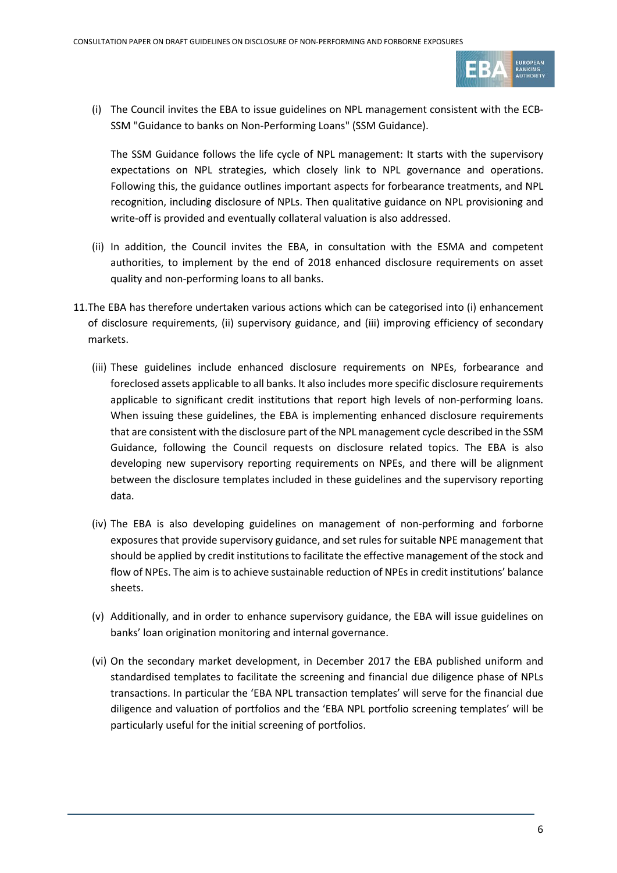

(i) The Council invites the EBA to issue guidelines on NPL management consistent with the ECB-SSM "Guidance to banks on Non-Performing Loans" (SSM Guidance).

The SSM Guidance follows the life cycle of NPL management: It starts with the supervisory expectations on NPL strategies, which closely link to NPL governance and operations. Following this, the guidance outlines important aspects for forbearance treatments, and NPL recognition, including disclosure of NPLs. Then qualitative guidance on NPL provisioning and write-off is provided and eventually collateral valuation is also addressed.

- (ii) In addition, the Council invites the EBA, in consultation with the ESMA and competent authorities, to implement by the end of 2018 enhanced disclosure requirements on asset quality and non-performing loans to all banks.
- 11.The EBA has therefore undertaken various actions which can be categorised into (i) enhancement of disclosure requirements, (ii) supervisory guidance, and (iii) improving efficiency of secondary markets.
	- (iii) These guidelines include enhanced disclosure requirements on NPEs, forbearance and foreclosed assets applicable to all banks. It also includes more specific disclosure requirements applicable to significant credit institutions that report high levels of non-performing loans. When issuing these guidelines, the EBA is implementing enhanced disclosure requirements that are consistent with the disclosure part of the NPL management cycle described in the SSM Guidance, following the Council requests on disclosure related topics. The EBA is also developing new supervisory reporting requirements on NPEs, and there will be alignment between the disclosure templates included in these guidelines and the supervisory reporting data.
	- (iv) The EBA is also developing guidelines on management of non-performing and forborne exposures that provide supervisory guidance, and set rules for suitable NPE management that should be applied by credit institutions to facilitate the effective management of the stock and flow of NPEs. The aim is to achieve sustainable reduction of NPEs in credit institutions' balance sheets.
	- (v) Additionally, and in order to enhance supervisory guidance, the EBA will issue guidelines on banks' loan origination monitoring and internal governance.
	- (vi) On the secondary market development, in December 2017 the EBA published uniform and standardised templates to facilitate the screening and financial due diligence phase of NPLs transactions. In particular the 'EBA NPL transaction templates' will serve for the financial due diligence and valuation of portfolios and the 'EBA NPL portfolio screening templates' will be particularly useful for the initial screening of portfolios.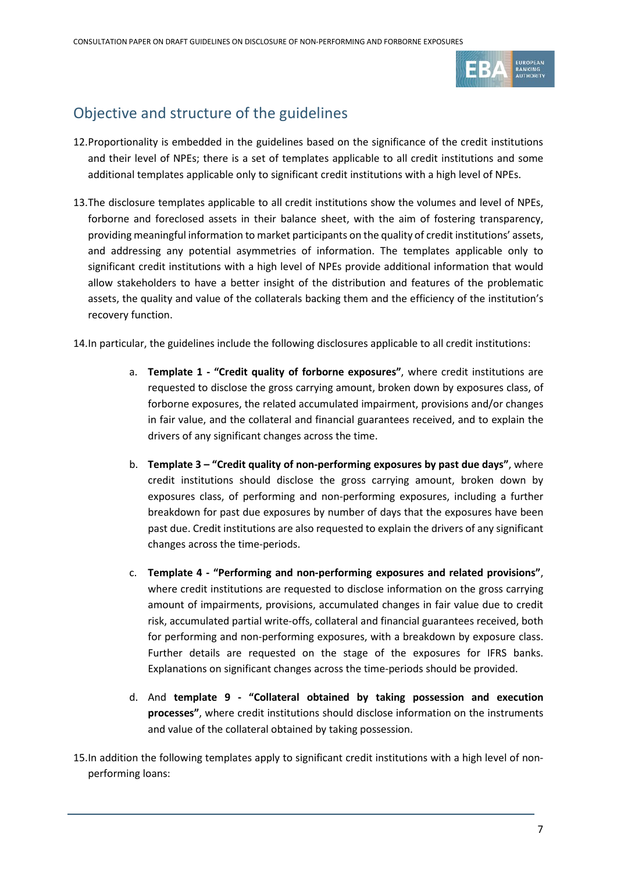

## Objective and structure of the guidelines

- 12.Proportionality is embedded in the guidelines based on the significance of the credit institutions and their level of NPEs; there is a set of templates applicable to all credit institutions and some additional templates applicable only to significant credit institutions with a high level of NPEs.
- 13.The disclosure templates applicable to all credit institutions show the volumes and level of NPEs, forborne and foreclosed assets in their balance sheet, with the aim of fostering transparency, providing meaningful information to market participants on the quality of credit institutions' assets, and addressing any potential asymmetries of information. The templates applicable only to significant credit institutions with a high level of NPEs provide additional information that would allow stakeholders to have a better insight of the distribution and features of the problematic assets, the quality and value of the collaterals backing them and the efficiency of the institution's recovery function.

14.In particular, the guidelines include the following disclosures applicable to all credit institutions:

- a. **Template 1 - "Credit quality of forborne exposures"**, where credit institutions are requested to disclose the gross carrying amount, broken down by exposures class, of forborne exposures, the related accumulated impairment, provisions and/or changes in fair value, and the collateral and financial guarantees received, and to explain the drivers of any significant changes across the time.
- b. **Template 3 – "Credit quality of non-performing exposures by past due days"**, where credit institutions should disclose the gross carrying amount, broken down by exposures class, of performing and non-performing exposures, including a further breakdown for past due exposures by number of days that the exposures have been past due. Credit institutions are also requested to explain the drivers of any significant changes across the time-periods.
- c. **Template 4 - "Performing and non-performing exposures and related provisions"**, where credit institutions are requested to disclose information on the gross carrying amount of impairments, provisions, accumulated changes in fair value due to credit risk, accumulated partial write-offs, collateral and financial guarantees received, both for performing and non-performing exposures, with a breakdown by exposure class. Further details are requested on the stage of the exposures for IFRS banks. Explanations on significant changes across the time-periods should be provided.
- d. And **template 9 - "Collateral obtained by taking possession and execution processes"**, where credit institutions should disclose information on the instruments and value of the collateral obtained by taking possession.
- 15.In addition the following templates apply to significant credit institutions with a high level of nonperforming loans: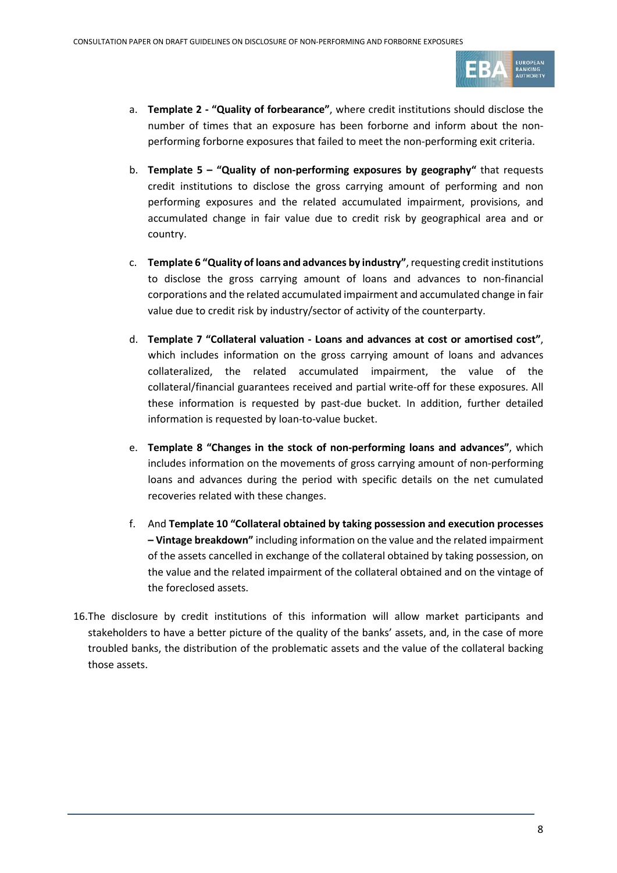

- a. **Template 2 - "Quality of forbearance"**, where credit institutions should disclose the number of times that an exposure has been forborne and inform about the nonperforming forborne exposures that failed to meet the non-performing exit criteria.
- b. **Template 5 – "Quality of non-performing exposures by geography"** that requests credit institutions to disclose the gross carrying amount of performing and non performing exposures and the related accumulated impairment, provisions, and accumulated change in fair value due to credit risk by geographical area and or country.
- c. **Template 6 "Quality of loans and advances by industry"**, requesting credit institutions to disclose the gross carrying amount of loans and advances to non-financial corporations and the related accumulated impairment and accumulated change in fair value due to credit risk by industry/sector of activity of the counterparty.
- d. **Template 7 "Collateral valuation - Loans and advances at cost or amortised cost"**, which includes information on the gross carrying amount of loans and advances collateralized, the related accumulated impairment, the value of the collateral/financial guarantees received and partial write-off for these exposures. All these information is requested by past-due bucket. In addition, further detailed information is requested by loan-to-value bucket.
- e. **Template 8 "Changes in the stock of non-performing loans and advances"**, which includes information on the movements of gross carrying amount of non-performing loans and advances during the period with specific details on the net cumulated recoveries related with these changes.
- f. And **Template 10 "Collateral obtained by taking possession and execution processes – Vintage breakdown"** including information on the value and the related impairment of the assets cancelled in exchange of the collateral obtained by taking possession, on the value and the related impairment of the collateral obtained and on the vintage of the foreclosed assets.
- 16.The disclosure by credit institutions of this information will allow market participants and stakeholders to have a better picture of the quality of the banks' assets, and, in the case of more troubled banks, the distribution of the problematic assets and the value of the collateral backing those assets.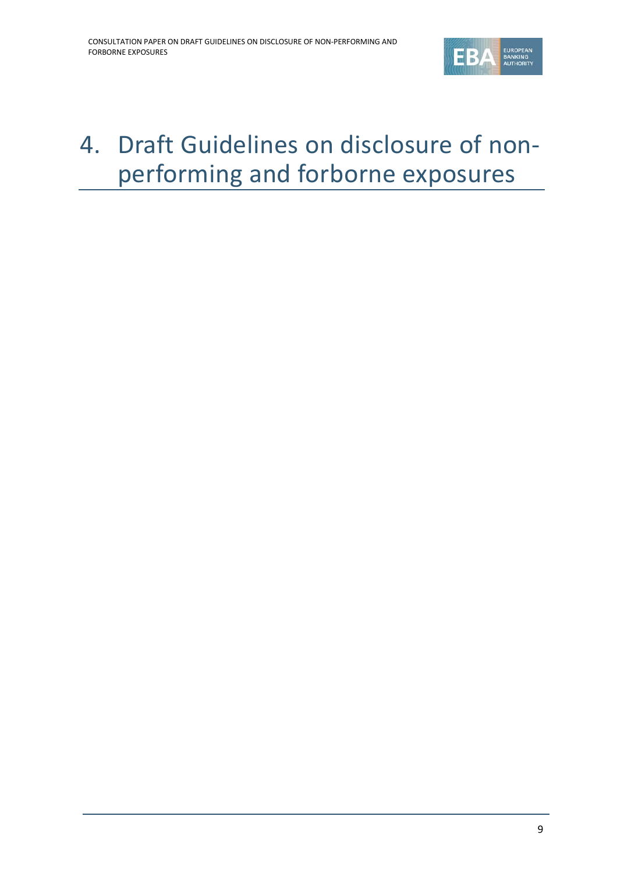

# <span id="page-8-0"></span>4. Draft Guidelines on disclosure of nonperforming and forborne exposures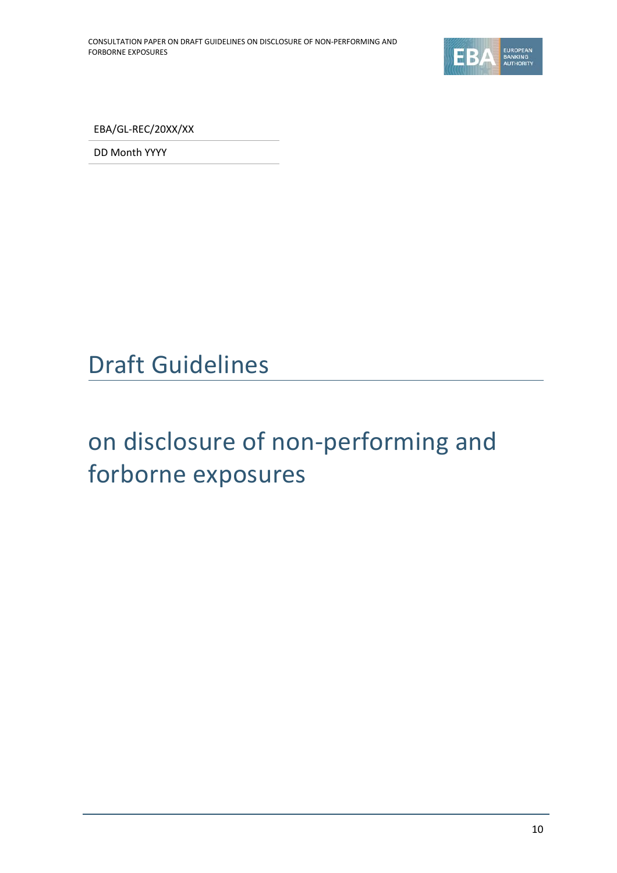

EBA/GL-REC/20XX/XX

DD Month YYYY

# Draft Guidelines

# on disclosure of non-performing and forborne exposures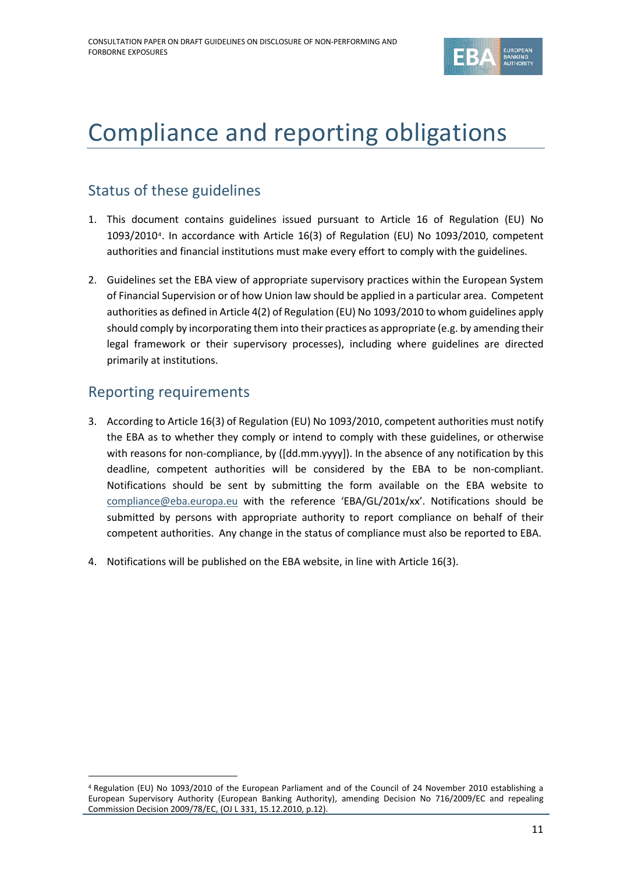

# <span id="page-10-0"></span>Compliance and reporting obligations

## Status of these guidelines

- 1. This document contains guidelines issued pursuant to Article 16 of Regulation (EU) No 1093/2010[4](#page-10-1). In accordance with Article 16(3) of Regulation (EU) No 1093/2010, competent authorities and financial institutions must make every effort to comply with the guidelines.
- 2. Guidelines set the EBA view of appropriate supervisory practices within the European System of Financial Supervision or of how Union law should be applied in a particular area. Competent authorities as defined in Article 4(2) of Regulation (EU) No 1093/2010 to whom guidelines apply should comply by incorporating them into their practices as appropriate (e.g. by amending their legal framework or their supervisory processes), including where guidelines are directed primarily at institutions.

## Reporting requirements

 $\overline{a}$ 

- 3. According to Article 16(3) of Regulation (EU) No 1093/2010, competent authorities must notify the EBA as to whether they comply or intend to comply with these guidelines, or otherwise with reasons for non-compliance, by ([dd.mm.yyyy]). In the absence of any notification by this deadline, competent authorities will be considered by the EBA to be non-compliant. Notifications should be sent by submitting the form available on the EBA website to [compliance@eba.europa.eu](mailto:compliance@eba.europa.eu) with the reference 'EBA/GL/201x/xx'. Notifications should be submitted by persons with appropriate authority to report compliance on behalf of their competent authorities. Any change in the status of compliance must also be reported to EBA.
- 4. Notifications will be published on the EBA website, in line with Article 16(3).

<span id="page-10-1"></span><sup>4</sup> Regulation (EU) No 1093/2010 of the European Parliament and of the Council of 24 November 2010 establishing a European Supervisory Authority (European Banking Authority), amending Decision No 716/2009/EC and repealing Commission Decision 2009/78/EC, (OJ L 331, 15.12.2010, p.12).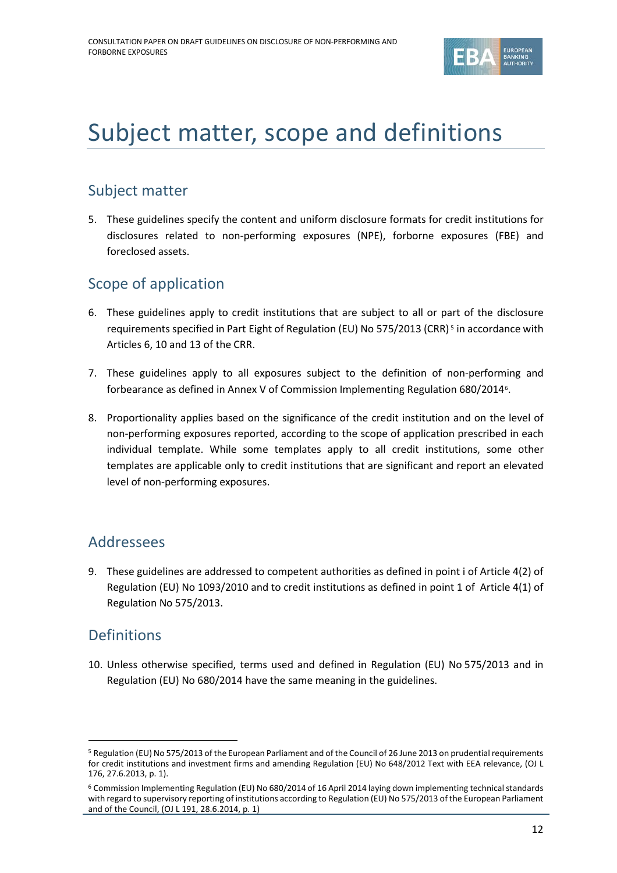

# <span id="page-11-3"></span><span id="page-11-0"></span>Subject matter, scope and definitions

## Subject matter

5. These guidelines specify the content and uniform disclosure formats for credit institutions for disclosures related to non-performing exposures (NPE), forborne exposures (FBE) and foreclosed assets.

## Scope of application

- 6. These guidelines apply to credit institutions that are subject to all or part of the disclosure requirements specified in Part Eight of Regulation (EU) No 575/2013 (CRR) [5](#page-11-1) in accordance with Articles 6, 10 and 13 of the CRR.
- 7. These guidelines apply to all exposures subject to the definition of non-performing and forbearance as defined in Annex V of Commission Implementing Regulation 680/2014[6.](#page-11-2)
- 8. Proportionality applies based on the significance of the credit institution and on the level of non-performing exposures reported, according to the scope of application prescribed in each individual template. While some templates apply to all credit institutions, some other templates are applicable only to credit institutions that are significant and report an elevated level of non-performing exposures.

## Addressees

9. These guidelines are addressed to competent authorities as defined in point i of Article 4(2) of Regulation (EU) No 1093/2010 and to credit institutions as defined in point 1 of Article 4(1) of Regulation No 575/2013.

## Definitions

 $\overline{a}$ 

10. Unless otherwise specified, terms used and defined in Regulation (EU) No 575/2013 and in Regulation (EU) No 680/2014 have the same meaning in the guidelines.

<span id="page-11-1"></span><sup>5</sup> Regulation (EU) No 575/2013 of the European Parliament and of the Council of 26 June 2013 on prudential requirements for credit institutions and investment firms and amending Regulation (EU) No 648/2012 Text with EEA relevance, (OJ L 176, 27.6.2013, p. 1).

<span id="page-11-2"></span><sup>6</sup> Commission Implementing Regulation (EU) No 680/2014 of 16 April 2014 laying down implementing technical standards with regard to supervisory reporting of institutions according to Regulation (EU) No 575/2013 of the European Parliament and of the Council, (OJ L 191, 28.6.2014, p. 1)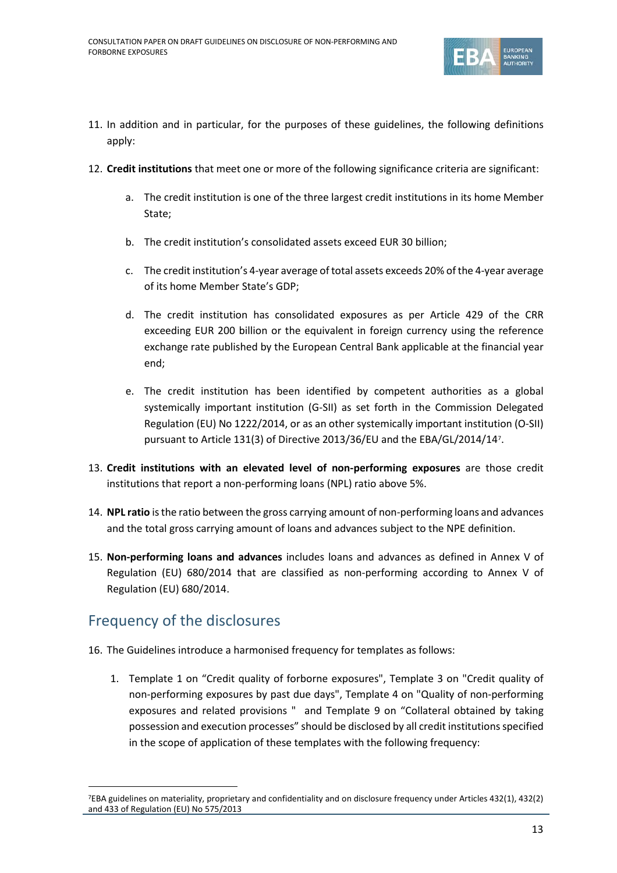

- <span id="page-12-5"></span>11. In addition and in particular, for the purposes of these guidelines, the following definitions apply:
- <span id="page-12-6"></span><span id="page-12-1"></span>12. **Credit institutions** that meet one or more of the following significance criteria are significant:
	- a. The credit institution is one of the three largest credit institutions in its home Member State;
	- b. The credit institution's consolidated assets exceed EUR 30 billion;
	- c. The credit institution's 4-year average of total assets exceeds 20% of the 4-year average of its home Member State's GDP;
	- d. The credit institution has consolidated exposures as per Article 429 of the CRR exceeding EUR 200 billion or the equivalent in foreign currency using the reference exchange rate published by the European Central Bank applicable at the financial year end;
	- e. The credit institution has been identified by competent authorities as a global systemically important institution (G-SII) as set forth in the Commission Delegated Regulation (EU) No 1222/2014, or as an other systemically important institution (O-SII) pursuant to Article 131(3) of Directive 2013/36/EU and the EBA/GL/2014/14[7](#page-12-0).
- <span id="page-12-4"></span><span id="page-12-3"></span><span id="page-12-2"></span>13. **Credit institutions with an elevated level of non-performing exposures** are those credit institutions that report a non-performing loans (NPL) ratio above 5%.
- 14. **NPL ratio** is the ratio between the gross carrying amount of non-performing loans and advances and the total gross carrying amount of loans and advances subject to the NPE definition.
- 15. **Non-performing loans and advances** includes loans and advances as defined in Annex V of Regulation (EU) 680/2014 that are classified as non-performing according to Annex V of Regulation (EU) 680/2014.

## Frequency of the disclosures

 $\overline{a}$ 

- 16. The Guidelines introduce a harmonised frequency for templates as follows:
	- 1. Template 1 on "Credit quality of forborne exposures", Template 3 on "Credit quality of non-performing exposures by past due days", Template 4 on "Quality of non-performing exposures and related provisions " and Template 9 on "Collateral obtained by taking possession and execution processes" should be disclosed by all credit institutions specified in the scope of application of these templates with the following frequency:

<span id="page-12-0"></span><sup>7</sup>EBA guidelines on materiality, proprietary and confidentiality and on disclosure frequency under Articles 432(1), 432(2) and 433 of Regulation (EU) No 575/2013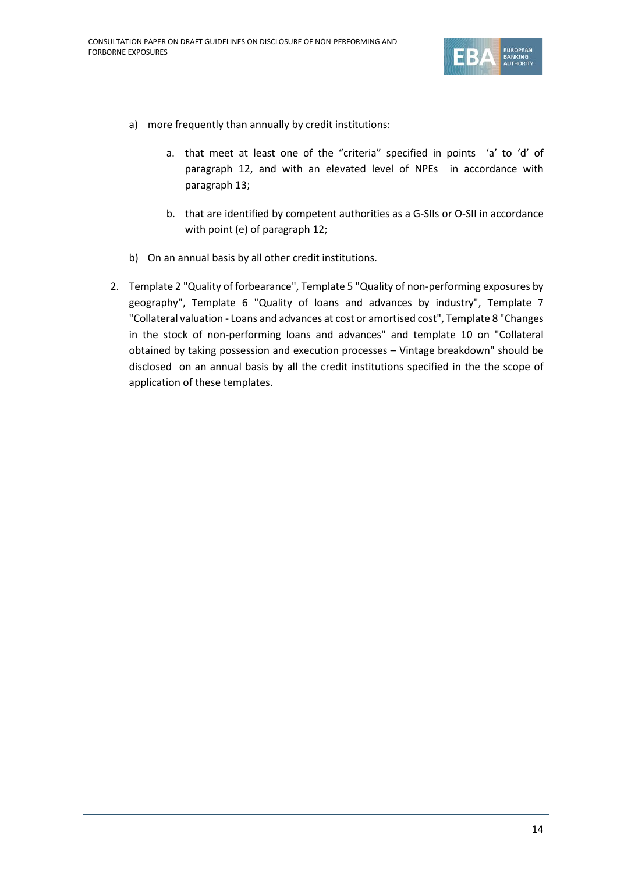

- a) more frequently than annually by credit institutions:
	- a. that meet at least one of the "criteria" specified in points 'a' to 'd' of paragraph [12,](#page-12-1) and with an elevated level of NPEs in accordance with paragraph [13;](#page-12-2)
	- b. that are identified by competent authorities as a G-SIIs or O-SII in accordance with point (e) of paragrap[h 12;](#page-12-3)
- b) On an annual basis by all other credit institutions.
- 2. Template 2 "Quality of forbearance", Template 5 "Quality of non-performing exposures by geography", Template 6 "Quality of loans and advances by industry", Template 7 "Collateral valuation - Loans and advances at cost or amortised cost", Template 8 "Changes in the stock of non-performing loans and advances" and template 10 on "Collateral obtained by taking possession and execution processes – Vintage breakdown" should be disclosed on an annual basis by all the credit institutions specified in the the scope of application of these templates.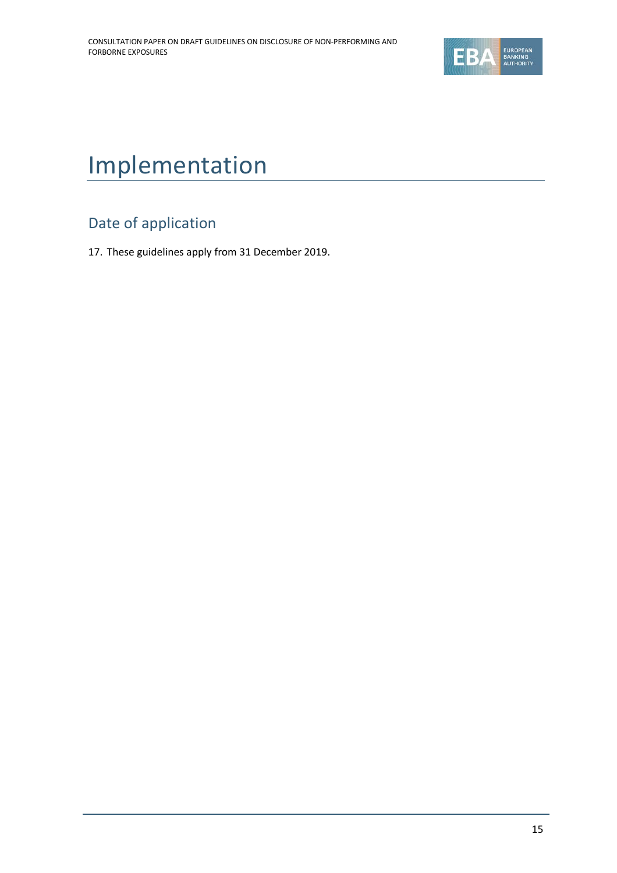

# <span id="page-14-0"></span>Implementation

# Date of application

17. These guidelines apply from 31 December 2019.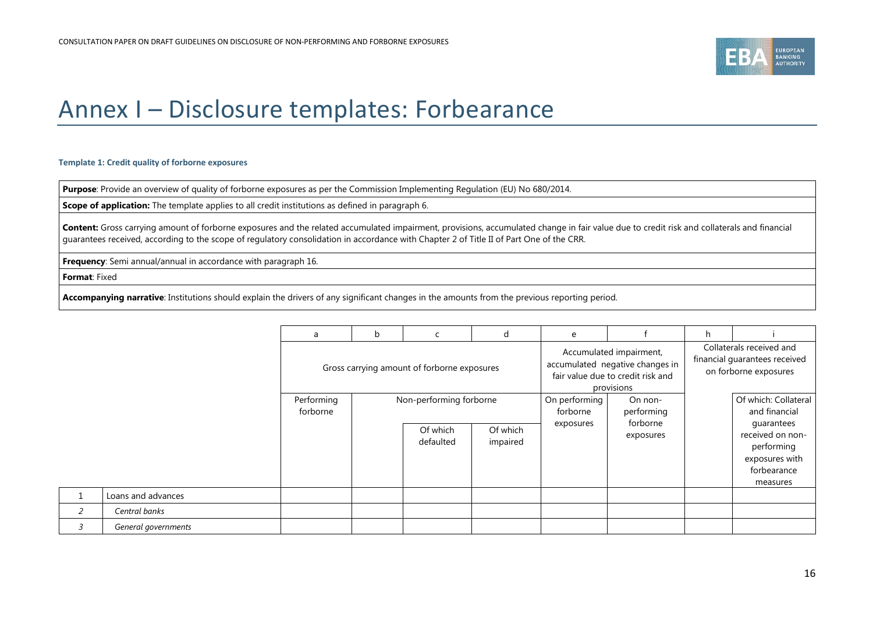

# Annex I – Disclosure templates: Forbearance

#### **Template 1: Credit quality of forborne exposures**

**Purpose**: Provide an overview of quality of forborne exposures as per the Commission Implementing Regulation (EU) No 680/2014.

**Scope of application:** The template applies to all credit institutions as defined in paragraph [6.](#page-11-3)

Content: Gross carrying amount of forborne exposures and the related accumulated impairment, provisions, accumulated change in fair value due to credit risk and collaterals and financial guarantees received, according to the scope of regulatory consolidation in accordance with Chapter 2 of Title II of Part One of the CRR.

**Frequency**: Semi annual/annual in accordance with paragraph [16.](#page-12-4)

**Format**: Fixed

*2 Central banks*

**Accompanying narrative**: Institutions should explain the drivers of any significant changes in the amounts from the previous reporting period.

<span id="page-15-0"></span>

|   |                     | a                      | b | C                                           | d                    | e         |                                                                                                               | h |                                                                                    |
|---|---------------------|------------------------|---|---------------------------------------------|----------------------|-----------|---------------------------------------------------------------------------------------------------------------|---|------------------------------------------------------------------------------------|
|   |                     |                        |   | Gross carrying amount of forborne exposures |                      |           | Accumulated impairment,<br>accumulated negative changes in<br>fair value due to credit risk and<br>provisions |   | Collaterals received and<br>financial guarantees received<br>on forborne exposures |
|   |                     | Performing<br>forborne |   | Non-performing forborne                     |                      |           | On performing<br>On non-<br>performing<br>forborne                                                            |   | Of which: Collateral<br>and financial<br>quarantees                                |
|   |                     |                        |   | Of which<br>defaulted                       | Of which<br>impaired | exposures | exposures                                                                                                     |   | received on non-<br>performing<br>exposures with<br>forbearance<br>measures        |
|   | Loans and advances  |                        |   |                                             |                      |           |                                                                                                               |   |                                                                                    |
|   | Central banks       |                        |   |                                             |                      |           |                                                                                                               |   |                                                                                    |
| 3 | General governments |                        |   |                                             |                      |           |                                                                                                               |   |                                                                                    |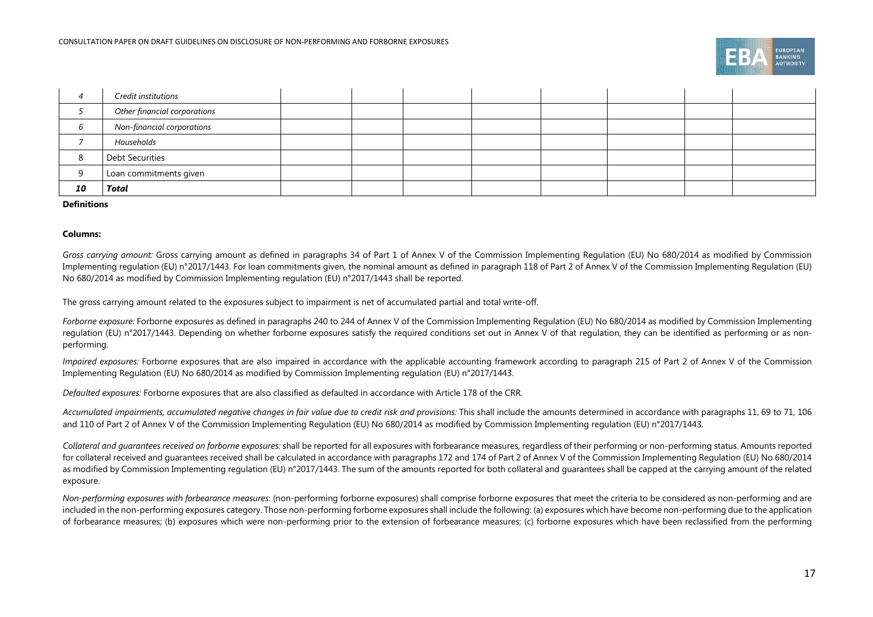

|    | Credit institutions          |  |  |  |  |
|----|------------------------------|--|--|--|--|
|    | Other financial corporations |  |  |  |  |
|    | Non-financial corporations   |  |  |  |  |
|    | Households                   |  |  |  |  |
| Ο  | <b>Debt Securities</b>       |  |  |  |  |
|    | Loan commitments given       |  |  |  |  |
| 10 | Total                        |  |  |  |  |

#### **Definitions**

#### **Columns:**

*Gross carrying amount:* Gross carrying amount as defined in paragraphs 34 of Part 1 of Annex V of the Commission Implementing Regulation (EU) No 680/2014 as modified by Commission Implementing regulation (EU) n°2017/1443. For loan commitments given, the nominal amount as defined in paragraph 118 of Part 2 of Annex V of the Commission Implementing Regulation (EU) No 680/2014 as modified by Commission Implementing regulation (EU) n°2017/1443 shall be reported.

The gross carrying amount related to the exposures subject to impairment is net of accumulated partial and total write-off.

*Forborne exposure:* Forborne exposures as defined in paragraphs 240 to 244 of Annex V of the Commission Implementing Regulation (EU) No 680/2014 as modified by Commission Implementing regulation (EU) n°2017/1443. Depending on whether forborne exposures satisfy the required conditions set out in Annex V of that regulation, they can be identified as performing or as nonperforming.

*Impaired exposures:* Forborne exposures that are also impaired in accordance with the applicable accounting framework according to paragraph 215 of Part 2 of Annex V of the Commission Implementing Regulation (EU) No 680/2014 as modified by Commission Implementing regulation (EU) n°2017/1443.

*Defaulted exposures:* Forborne exposures that are also classified as defaulted in accordance with Article 178 of the CRR.

*Accumulated impairments, accumulated negative changes in fair value due to credit risk and provisions:* This shall include the amounts determined in accordance with paragraphs 11, 69 to 71, 106 and 110 of Part 2 of Annex V of the Commission Implementing Regulation (EU) No 680/2014 as modified by Commission Implementing regulation (EU) n°2017/1443.

*Collateral and guarantees received on forborne exposures:* shall be reported for all exposures with forbearance measures, regardless of their performing or non-performing status. Amounts reported for collateral received and guarantees received shall be calculated in accordance with paragraphs 172 and 174 of Part 2 of Annex V of the Commission Implementing Regulation (EU) No 680/2014 as modified by Commission Implementing regulation (EU) n°2017/1443. The sum of the amounts reported for both collateral and guarantees shall be capped at the carrying amount of the related exposure.

*Non-performing exposures with forbearance measures*: (non-performing forborne exposures) shall comprise forborne exposures that meet the criteria to be considered as non-performing and are included in the non-performing exposures category. Those non-performing forborne exposures shall include the following: (a) exposures which have become non-performing due to the application of forbearance measures; (b) exposures which were non-performing prior to the extension of forbearance measures; (c) forborne exposures which have been reclassified from the performing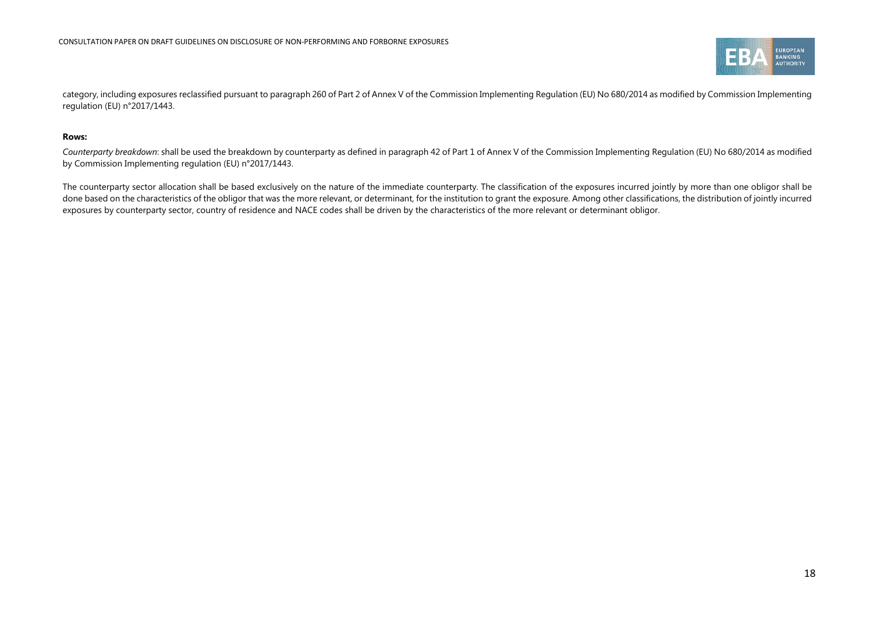

category, including exposures reclassified pursuant to paragraph 260 of Part 2 of Annex V of the Commission Implementing Regulation (EU) No 680/2014 as modified by Commission Implementing regulation (EU) n°2017/1443.

#### **Rows:**

*Counterparty breakdown*: shall be used the breakdown by counterparty as defined in paragraph 42 of Part 1 of Annex V of the Commission Implementing Regulation (EU) No 680/2014 as modified by Commission Implementing regulation (EU) n°2017/1443.

The counterparty sector allocation shall be based exclusively on the nature of the immediate counterparty. The classification of the exposures incurred jointly by more than one obligor shall be done based on the characteristics of the obligor that was the more relevant, or determinant, for the institution to grant the exposure. Among other classifications, the distribution of jointly incurred exposures by counterparty sector, country of residence and NACE codes shall be driven by the characteristics of the more relevant or determinant obligor.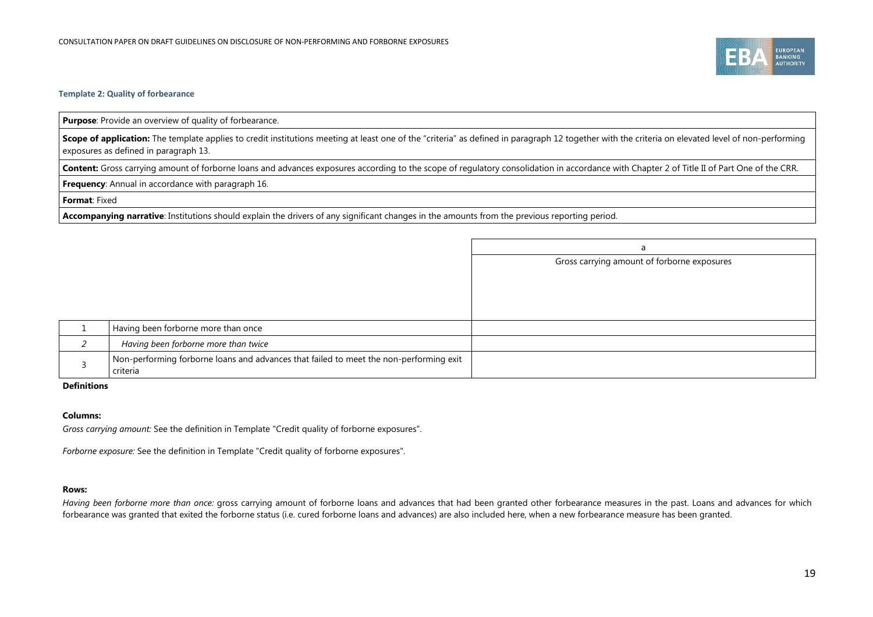

#### **Template 2: Quality of forbearance**

**Purpose**: Provide an overview of quality of forbearance.

**Scope of application:** The template applies to credit institutions meeting at least one of the "criteria" as defined in paragraph [12](#page-12-5) together with the criteria on elevated level of non-performing exposures as defined in paragraph [13.](#page-12-6)

Content: Gross carrying amount of forborne loans and advances exposures according to the scope of regulatory consolidation in accordance with Chapter 2 of Title II of Part One of the CRR.

**Frequency**: Annual in accordance with paragraph [16.](#page-12-4)

**Format**: Fixed

**Accompanying narrative**: Institutions should explain the drivers of any significant changes in the amounts from the previous reporting period.

|                                                                                                    | a                                           |
|----------------------------------------------------------------------------------------------------|---------------------------------------------|
|                                                                                                    | Gross carrying amount of forborne exposures |
|                                                                                                    |                                             |
|                                                                                                    |                                             |
|                                                                                                    |                                             |
| Having been forborne more than once                                                                |                                             |
|                                                                                                    |                                             |
| Having been forborne more than twice                                                               |                                             |
| Non-performing forborne loans and advances that failed to meet the non-performing exit<br>criteria |                                             |

#### **Definitions**

#### **Columns:**

*Gross carrying amount:* See the definition in Template "Credit quality of forborne exposures".

*Forborne exposure:* See the definition in Template "Credit quality of forborne exposures".

#### **Rows:**

*Having been forborne more than once:* gross carrying amount of forborne loans and advances that had been granted other forbearance measures in the past. Loans and advances for which forbearance was granted that exited the forborne status (i.e. cured forborne loans and advances) are also included here, when a new forbearance measure has been granted.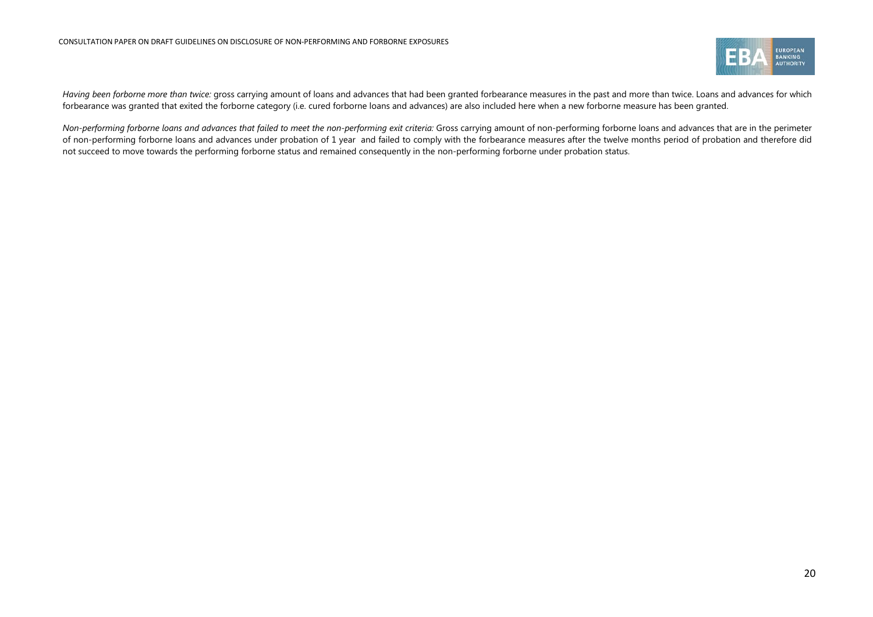

Having been forborne more than twice: gross carrying amount of loans and advances that had been granted forbearance measures in the past and more than twice. Loans and advances for which forbearance was granted that exited the forborne category (i.e. cured forborne loans and advances) are also included here when a new forborne measure has been granted.

*Non-performing forborne loans and advances that failed to meet the non-performing exit criteria:* Gross carrying amount of non-performing forborne loans and advances that are in the perimeter of non-performing forborne loans and advances under probation of 1 year and failed to comply with the forbearance measures after the twelve months period of probation and therefore did not succeed to move towards the performing forborne status and remained consequently in the non-performing forborne under probation status.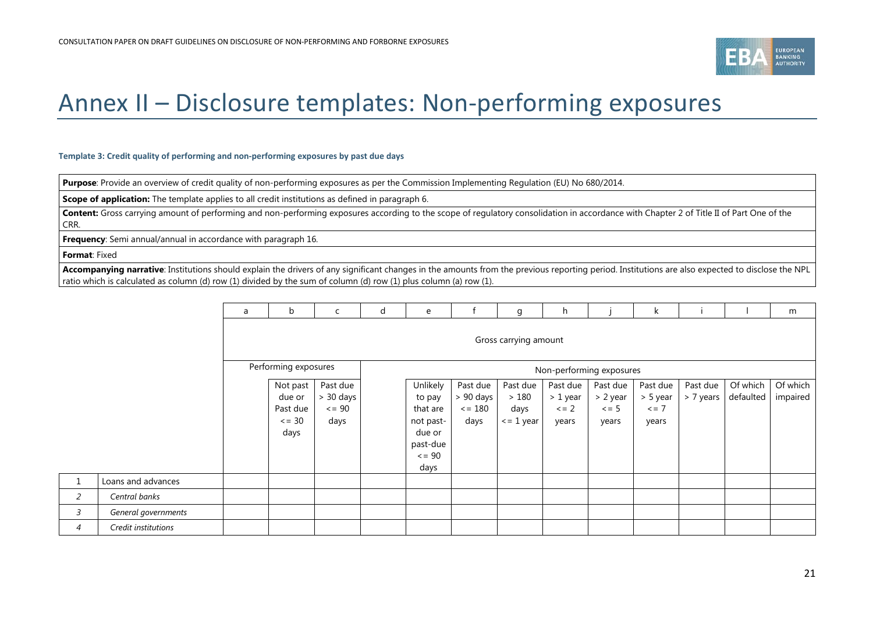

# Annex II – Disclosure templates: Non-performing exposures

#### **Template 3: Credit quality of performing and non-performing exposures by past due days**

**Purpose**: Provide an overview of credit quality of non-performing exposures as per the Commission Implementing Regulation (EU) No 680/2014.

**Scope of application:** The template applies to all credit institutions as defined in paragraph [6.](#page-11-3)

Content: Gross carrying amount of performing and non-performing exposures according to the scope of regulatory consolidation in accordance with Chapter 2 of Title II of Part One of the CRR.

**Frequency**: Semi annual/annual in accordance with paragraph [16.](#page-12-4)

**Format**: Fixed

**Accompanying narrative**: Institutions should explain the drivers of any significant changes in the amounts from the previous reporting period. Institutions are also expected to disclose the NPL ratio which is calculated as column (d) row (1) divided by the sum of column (d) row (1) plus column (a) row (1).

<span id="page-20-0"></span>

|                |                     | a | b                                                     | C                                              | d | e                                                                                        |                                                   | g                                          | h                                           |                                             | k                                           |                       |                       | m                    |
|----------------|---------------------|---|-------------------------------------------------------|------------------------------------------------|---|------------------------------------------------------------------------------------------|---------------------------------------------------|--------------------------------------------|---------------------------------------------|---------------------------------------------|---------------------------------------------|-----------------------|-----------------------|----------------------|
|                |                     |   |                                                       |                                                |   |                                                                                          |                                                   | Gross carrying amount                      |                                             |                                             |                                             |                       |                       |                      |
|                |                     |   | Performing exposures                                  |                                                |   |                                                                                          |                                                   |                                            |                                             | Non-performing exposures                    |                                             |                       |                       |                      |
|                |                     |   | Not past<br>due or<br>Past due<br>$\leq$ = 30<br>days | Past due<br>$> 30$ days<br>$\leq$ = 90<br>days |   | Unlikely<br>to pay<br>that are<br>not past-<br>due or<br>past-due<br>$\leq$ = 90<br>days | Past due<br>> 90 days<br>$\epsilon = 180$<br>days | Past due<br>>180<br>days<br>$\le$ = 1 year | Past due<br>> 1 year<br>$\leq$ = 2<br>years | Past due<br>> 2 year<br>$\leq$ = 5<br>years | Past due<br>> 5 year<br>$\leq$ = 7<br>years | Past due<br>> 7 years | Of which<br>defaulted | Of which<br>impaired |
| $1\,$          | Loans and advances  |   |                                                       |                                                |   |                                                                                          |                                                   |                                            |                                             |                                             |                                             |                       |                       |                      |
| $\overline{a}$ | Central banks       |   |                                                       |                                                |   |                                                                                          |                                                   |                                            |                                             |                                             |                                             |                       |                       |                      |
| 3              | General governments |   |                                                       |                                                |   |                                                                                          |                                                   |                                            |                                             |                                             |                                             |                       |                       |                      |
| 4              | Credit institutions |   |                                                       |                                                |   |                                                                                          |                                                   |                                            |                                             |                                             |                                             |                       |                       |                      |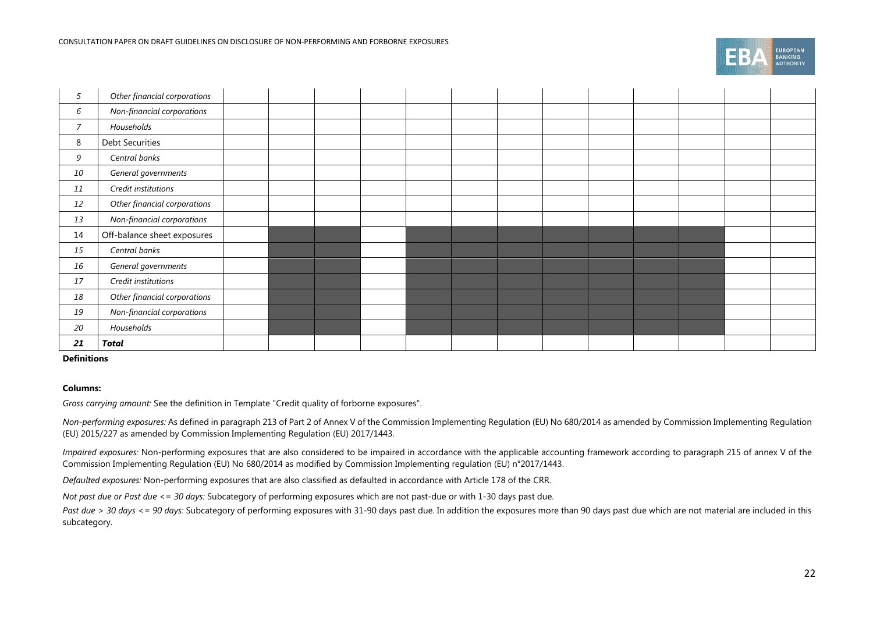| 5              | Other financial corporations |  |  |  |  |  |  |  |
|----------------|------------------------------|--|--|--|--|--|--|--|
| 6              | Non-financial corporations   |  |  |  |  |  |  |  |
| $\overline{7}$ | Households                   |  |  |  |  |  |  |  |
| 8              | <b>Debt Securities</b>       |  |  |  |  |  |  |  |
| 9              | Central banks                |  |  |  |  |  |  |  |
| 10             | General governments          |  |  |  |  |  |  |  |
| 11             | Credit institutions          |  |  |  |  |  |  |  |
| 12             | Other financial corporations |  |  |  |  |  |  |  |
| 13             | Non-financial corporations   |  |  |  |  |  |  |  |
| 14             | Off-balance sheet exposures  |  |  |  |  |  |  |  |
| 15             | Central banks                |  |  |  |  |  |  |  |
| 16             | General governments          |  |  |  |  |  |  |  |
| 17             | Credit institutions          |  |  |  |  |  |  |  |
| 18             | Other financial corporations |  |  |  |  |  |  |  |
| 19             | Non-financial corporations   |  |  |  |  |  |  |  |
| 20             | Households                   |  |  |  |  |  |  |  |
| 21             | Total                        |  |  |  |  |  |  |  |

#### **Definitions**

#### **Columns:**

*Gross carrying amount:* See the definition in Template "Credit quality of forborne exposures".

*Non-performing exposures:* As defined in paragraph 213 of Part 2 of Annex V of the Commission Implementing Regulation (EU) No 680/2014 as amended by Commission Implementing Regulation (EU) 2015/227 as amended by Commission Implementing Regulation (EU) 2017/1443.

*Impaired exposures:* Non-performing exposures that are also considered to be impaired in accordance with the applicable accounting framework according to paragraph 215 of annex V of the Commission Implementing Regulation (EU) No 680/2014 as modified by Commission Implementing regulation (EU) n°2017/1443.

*Defaulted exposures:* Non-performing exposures that are also classified as defaulted in accordance with Article 178 of the CRR.

*Not past due or Past due <= 30 days:* Subcategory of performing exposures which are not past-due or with 1-30 days past due.

Past due > 30 days <= 90 days: Subcategory of performing exposures with 31-90 days past due. In addition the exposures more than 90 days past due which are not material are included in this subcategory.

-<br>BANKING<br>AUTHORITY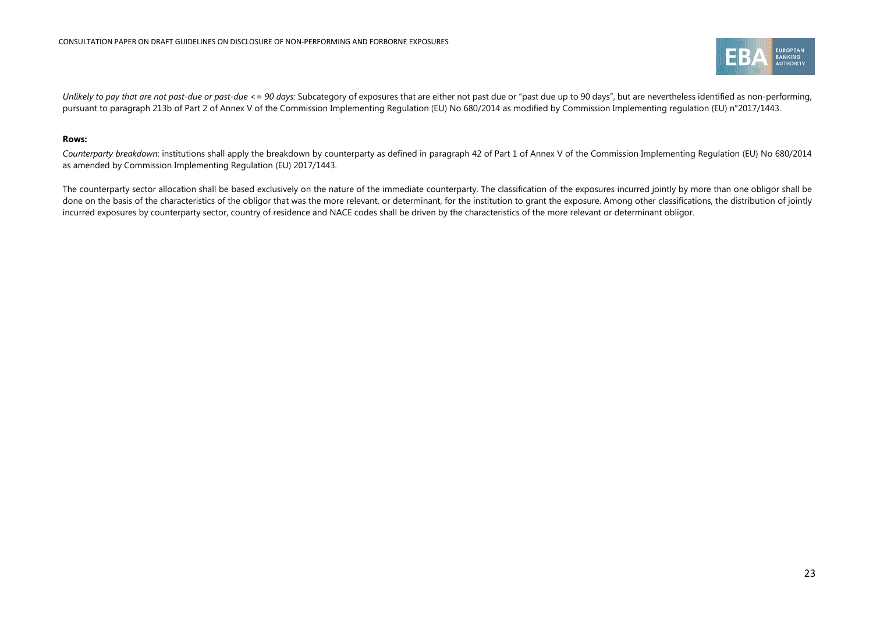

Unlikely to pay that are not past-due or past-due <= 90 days: Subcategory of exposures that are either not past due or "past due up to 90 days", but are nevertheless identified as non-performing, pursuant to paragraph 213b of Part 2 of Annex V of the Commission Implementing Regulation (EU) No 680/2014 as modified by Commission Implementing regulation (EU) n°2017/1443.

#### **Rows:**

Counterparty breakdown: institutions shall apply the breakdown by counterparty as defined in paragraph 42 of Part 1 of Annex V of the Commission Implementing Regulation (EU) No 680/2014 as amended by Commission Implementing Regulation (EU) 2017/1443.

The counterparty sector allocation shall be based exclusively on the nature of the immediate counterparty. The classification of the exposures incurred jointly by more than one obligor shall be done on the basis of the characteristics of the obligor that was the more relevant, or determinant, for the institution to grant the exposure. Among other classifications, the distribution of jointly incurred exposures by counterparty sector, country of residence and NACE codes shall be driven by the characteristics of the more relevant or determinant obligor.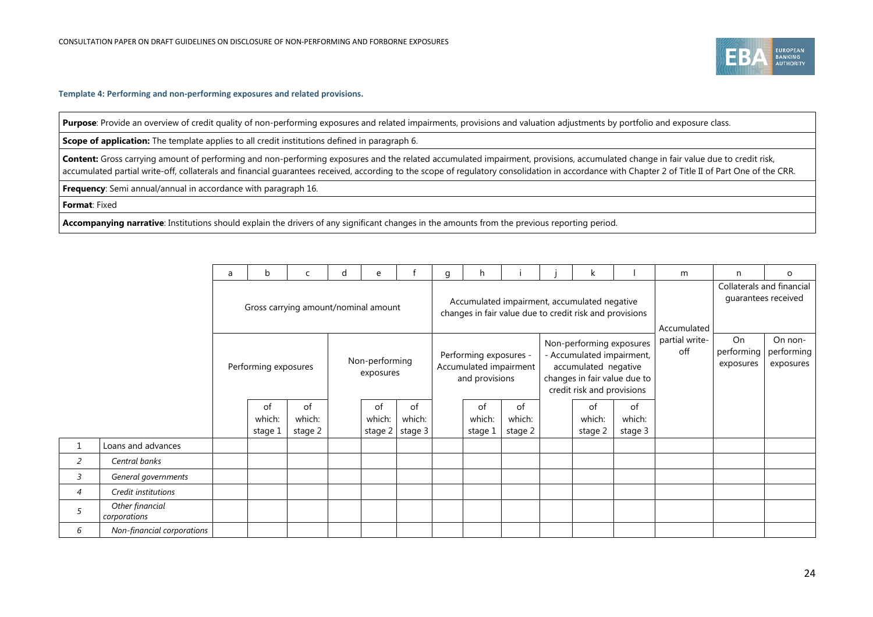

**Template 4: Performing and non-performing exposures and related provisions.**

Purpose: Provide an overview of credit quality of non-performing exposures and related impairments, provisions and valuation adjustments by portfolio and exposure class.

**Scope of application:** The template applies to all credit institutions defined in paragrap[h 6.](#page-11-3)

Content: Gross carrying amount of performing and non-performing exposures and the related accumulated impairment, provisions, accumulated change in fair value due to credit risk, accumulated partial write-off, collaterals and financial guarantees received, according to the scope of regulatory consolidation in accordance with Chapter 2 of Title II of Part One of the CRR.

**Frequency**: Semi annual/annual in accordance with paragraph [16.](#page-12-4)

**Format**: Fixed

**Accompanying narrative**: Institutions should explain the drivers of any significant changes in the amounts from the previous reporting period.

|   |                                 | a | b                       | $\mathsf{C}$                         | d | e                           |                         | g | h                                                                                                       |                         |  | k                                                                                                           |                                                  | m                     | n                             | $\circ$                            |
|---|---------------------------------|---|-------------------------|--------------------------------------|---|-----------------------------|-------------------------|---|---------------------------------------------------------------------------------------------------------|-------------------------|--|-------------------------------------------------------------------------------------------------------------|--------------------------------------------------|-----------------------|-------------------------------|------------------------------------|
|   |                                 |   |                         | Gross carrying amount/nominal amount |   |                             |                         |   | Accumulated impairment, accumulated negative<br>changes in fair value due to credit risk and provisions |                         |  | Accumulated                                                                                                 | Collaterals and financial<br>guarantees received |                       |                               |                                    |
|   |                                 |   | Performing exposures    |                                      |   | Non-performing<br>exposures |                         |   | Performing exposures -<br>Accumulated impairment<br>and provisions                                      |                         |  | Non-performing exposures<br>- Accumulated impairment,<br>accumulated negative<br>credit risk and provisions | changes in fair value due to                     | partial write-<br>off | On<br>performing<br>exposures | On non-<br>performing<br>exposures |
|   |                                 |   | οt<br>which:<br>stage 1 | 0f<br>which:<br>stage 2              |   | 0f<br>which:<br>stage 2     | of<br>which:<br>stage 3 |   | 0f<br>which:<br>stage 1                                                                                 | οf<br>which:<br>stage 2 |  | οf<br>which:<br>stage 2                                                                                     | 0f<br>which:<br>stage 3                          |                       |                               |                                    |
|   | Loans and advances              |   |                         |                                      |   |                             |                         |   |                                                                                                         |                         |  |                                                                                                             |                                                  |                       |                               |                                    |
| 2 | Central banks                   |   |                         |                                      |   |                             |                         |   |                                                                                                         |                         |  |                                                                                                             |                                                  |                       |                               |                                    |
| 3 | General governments             |   |                         |                                      |   |                             |                         |   |                                                                                                         |                         |  |                                                                                                             |                                                  |                       |                               |                                    |
| 4 | Credit institutions             |   |                         |                                      |   |                             |                         |   |                                                                                                         |                         |  |                                                                                                             |                                                  |                       |                               |                                    |
| 5 | Other financial<br>corporations |   |                         |                                      |   |                             |                         |   |                                                                                                         |                         |  |                                                                                                             |                                                  |                       |                               |                                    |
| 6 | Non-financial corporations      |   |                         |                                      |   |                             |                         |   |                                                                                                         |                         |  |                                                                                                             |                                                  |                       |                               |                                    |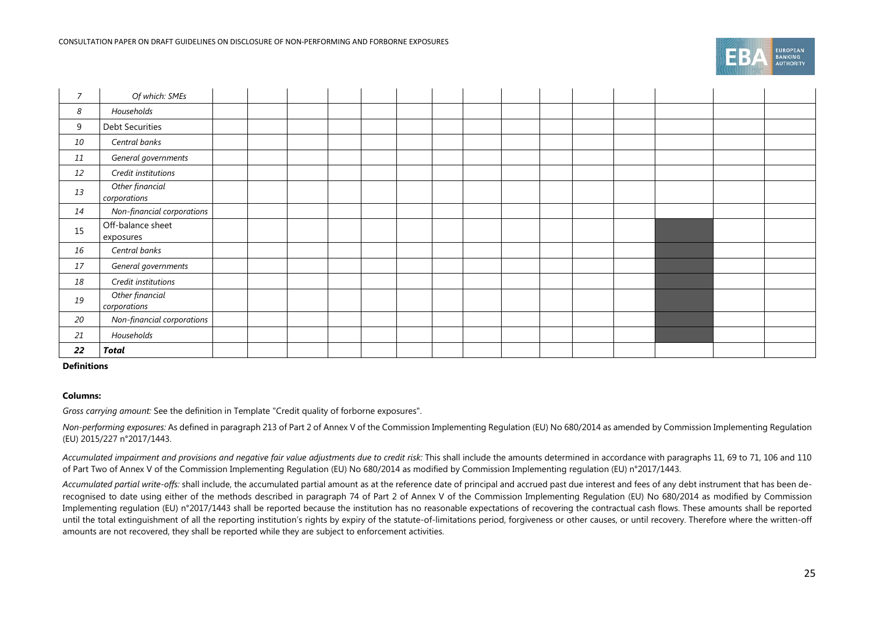|  | <b>EUROPEAN</b><br><b>BANKING</b><br><b>AUTHORITY</b> |
|--|-------------------------------------------------------|
|--|-------------------------------------------------------|

| $\overline{7}$ | Of which: SMEs                  |  |  |  |  |  |  |  |  |
|----------------|---------------------------------|--|--|--|--|--|--|--|--|
| 8              | Households                      |  |  |  |  |  |  |  |  |
| 9              | <b>Debt Securities</b>          |  |  |  |  |  |  |  |  |
| 10             | Central banks                   |  |  |  |  |  |  |  |  |
| 11             | General governments             |  |  |  |  |  |  |  |  |
| 12             | Credit institutions             |  |  |  |  |  |  |  |  |
| 13             | Other financial<br>corporations |  |  |  |  |  |  |  |  |
| 14             | Non-financial corporations      |  |  |  |  |  |  |  |  |
| 15             | Off-balance sheet<br>exposures  |  |  |  |  |  |  |  |  |
| 16             | Central banks                   |  |  |  |  |  |  |  |  |
| 17             | General governments             |  |  |  |  |  |  |  |  |
| 18             | Credit institutions             |  |  |  |  |  |  |  |  |
| 19             | Other financial<br>corporations |  |  |  |  |  |  |  |  |
| 20             | Non-financial corporations      |  |  |  |  |  |  |  |  |
| 21             | Households                      |  |  |  |  |  |  |  |  |
| 22             | Total                           |  |  |  |  |  |  |  |  |

#### **Definitions**

#### **Columns:**

*Gross carrying amount:* See the definition in Template "Credit quality of forborne exposures".

*Non-performing exposures:* As defined in paragraph 213 of Part 2 of Annex V of the Commission Implementing Regulation (EU) No 680/2014 as amended by Commission Implementing Regulation (EU) 2015/227 n°2017/1443.

Accumulated impairment and provisions and negative fair value adjustments due to credit risk: This shall include the amounts determined in accordance with paragraphs 11, 69 to 71, 106 and 110 of Part Two of Annex V of the Commission Implementing Regulation (EU) No 680/2014 as modified by Commission Implementing regulation (EU) n°2017/1443.

*Accumulated partial write-offs:* shall include, the accumulated partial amount as at the reference date of principal and accrued past due interest and fees of any debt instrument that has been derecognised to date using either of the methods described in paragraph 74 of Part 2 of Annex V of the Commission Implementing Regulation (EU) No 680/2014 as modified by Commission Implementing regulation (EU) n°2017/1443 shall be reported because the institution has no reasonable expectations of recovering the contractual cash flows. These amounts shall be reported until the total extinguishment of all the reporting institution's rights by expiry of the statute-of-limitations period, forgiveness or other causes, or until recovery. Therefore where the written-off amounts are not recovered, they shall be reported while they are subject to enforcement activities.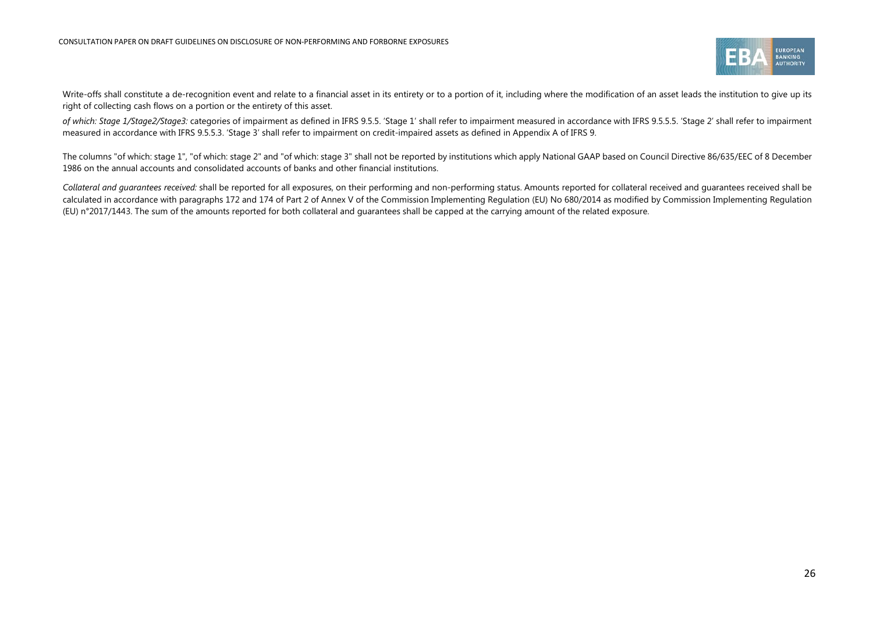

Write-offs shall constitute a de-recognition event and relate to a financial asset in its entirety or to a portion of it, including where the modification of an asset leads the institution to give up its right of collecting cash flows on a portion or the entirety of this asset.

*of which: Stage 1/Stage2/Stage3:* categories of impairment as defined in IFRS 9.5.5. 'Stage 1' shall refer to impairment measured in accordance with IFRS 9.5.5.5. 'Stage 2' shall refer to impairment measured in accordance with IFRS 9.5.5.3. 'Stage 3' shall refer to impairment on credit-impaired assets as defined in Appendix A of IFRS 9.

The columns "of which: stage 1", "of which: stage 2" and "of which: stage 3" shall not be reported by institutions which apply National GAAP based on Council Directive 86/635/EEC of 8 December 1986 on the annual accounts and consolidated accounts of banks and other financial institutions.

*Collateral and guarantees received:* shall be reported for all exposures, on their performing and non-performing status. Amounts reported for collateral received and guarantees received shall be calculated in accordance with paragraphs 172 and 174 of Part 2 of Annex V of the Commission Implementing Regulation (EU) No 680/2014 as modified by Commission Implementing Regulation (EU) n°2017/1443. The sum of the amounts reported for both collateral and guarantees shall be capped at the carrying amount of the related exposure.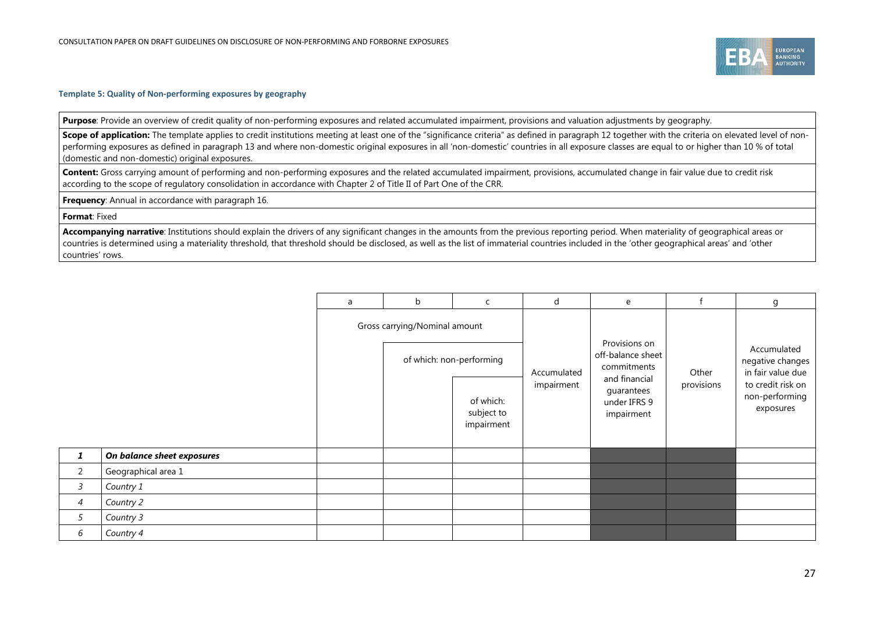

#### **Template 5: Quality of Non-performing exposures by geography**

**Purpose**: Provide an overview of credit quality of non-performing exposures and related accumulated impairment, provisions and valuation adjustments by geography.

**Scope of application:** The template applies to credit institutions meeting at least one of the "significance criteria" as defined in paragraph 12 together with the criteria on elevated level of nonperforming exposures as defined in paragraph 13 and where non-domestic original exposures in all 'non-domestic' countries in all exposure classes are equal to or higher than 10 % of total (domestic and non-domestic) original exposures.

Content: Gross carrying amount of performing and non-performing exposures and the related accumulated impairment, provisions, accumulated change in fair value due to credit risk according to the scope of regulatory consolidation in accordance with Chapter 2 of Title II of Part One of the CRR.

**Frequency**: Annual in accordance with paragraph [16.](#page-12-4)

#### **Format**: Fixed

**Accompanying narrative**: Institutions should explain the drivers of any significant changes in the amounts from the previous reporting period. When materiality of geographical areas or countries is determined using a materiality threshold, that threshold should be disclosed, as well as the list of immaterial countries included in the 'other geographical areas' and 'other countries' rows.

|                |                            | a | b                             | $\mathsf{C}$                          | d           | e                                                         |            | g                                                    |
|----------------|----------------------------|---|-------------------------------|---------------------------------------|-------------|-----------------------------------------------------------|------------|------------------------------------------------------|
|                |                            |   | Gross carrying/Nominal amount | of which: non-performing              | Accumulated | Provisions on<br>off-balance sheet<br>commitments         | Other      | Accumulated<br>negative changes<br>in fair value due |
|                |                            |   |                               | of which:<br>subject to<br>impairment | impairment  | and financial<br>guarantees<br>under IFRS 9<br>impairment | provisions | to credit risk on<br>non-performing<br>exposures     |
| $\mathbf{1}$   | On balance sheet exposures |   |                               |                                       |             |                                                           |            |                                                      |
| 2              | Geographical area 1        |   |                               |                                       |             |                                                           |            |                                                      |
| 3              | Country 1                  |   |                               |                                       |             |                                                           |            |                                                      |
| $\overline{4}$ | Country 2                  |   |                               |                                       |             |                                                           |            |                                                      |
| 5              | Country 3                  |   |                               |                                       |             |                                                           |            |                                                      |
| 6              | Country 4                  |   |                               |                                       |             |                                                           |            |                                                      |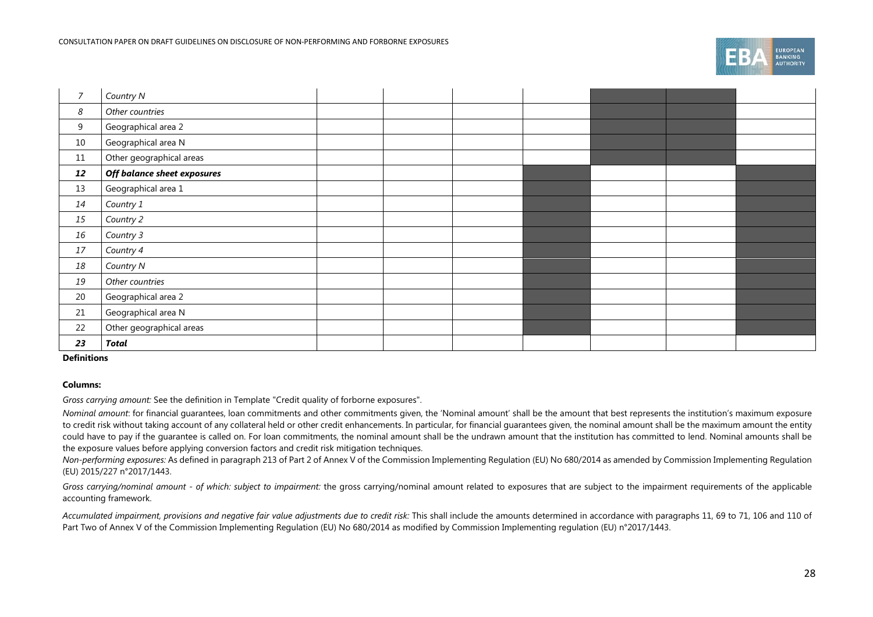|  | <b>EUROPEAN</b><br><b>BANKING</b><br><b>AUTHORITY</b> |
|--|-------------------------------------------------------|
|--|-------------------------------------------------------|

| $\overline{7}$ | Country N                   |  |  |  |  |
|----------------|-----------------------------|--|--|--|--|
| 8              | Other countries             |  |  |  |  |
| 9              | Geographical area 2         |  |  |  |  |
| 10             | Geographical area N         |  |  |  |  |
| $11\,$         | Other geographical areas    |  |  |  |  |
| 12             | Off balance sheet exposures |  |  |  |  |
| 13             | Geographical area 1         |  |  |  |  |
| 14             | Country 1                   |  |  |  |  |
| 15             | Country 2                   |  |  |  |  |
| 16             | Country 3                   |  |  |  |  |
| 17             | Country 4                   |  |  |  |  |
| 18             | Country N                   |  |  |  |  |
| 19             | Other countries             |  |  |  |  |
| 20             | Geographical area 2         |  |  |  |  |
| 21             | Geographical area N         |  |  |  |  |
| 22             | Other geographical areas    |  |  |  |  |
| 23             | <b>Total</b>                |  |  |  |  |

#### **Definitions**

#### **Columns:**

*Gross carrying amount:* See the definition in Template "Credit quality of forborne exposures".

*Nominal amount*: for financial guarantees, loan commitments and other commitments given, the 'Nominal amount' shall be the amount that best represents the institution's maximum exposure to credit risk without taking account of any collateral held or other credit enhancements. In particular, for financial guarantees given, the nominal amount shall be the maximum amount the entity could have to pay if the quarantee is called on. For loan commitments, the nominal amount shall be the undrawn amount that the institution has committed to lend. Nominal amounts shall be the exposure values before applying conversion factors and credit risk mitigation techniques.

*Non-performing exposures:* As defined in paragraph 213 of Part 2 of Annex V of the Commission Implementing Regulation (EU) No 680/2014 as amended by Commission Implementing Regulation (EU) 2015/227 n°2017/1443.

*Gross carrying/nominal amount - of which: subject to impairment:* the gross carrying/nominal amount related to exposures that are subject to the impairment requirements of the applicable accounting framework.

Accumulated impairment, provisions and negative fair value adjustments due to credit risk: This shall include the amounts determined in accordance with paragraphs 11, 69 to 71, 106 and 110 of Part Two of Annex V of the Commission Implementing Regulation (EU) No 680/2014 as modified by Commission Implementing regulation (EU) n°2017/1443.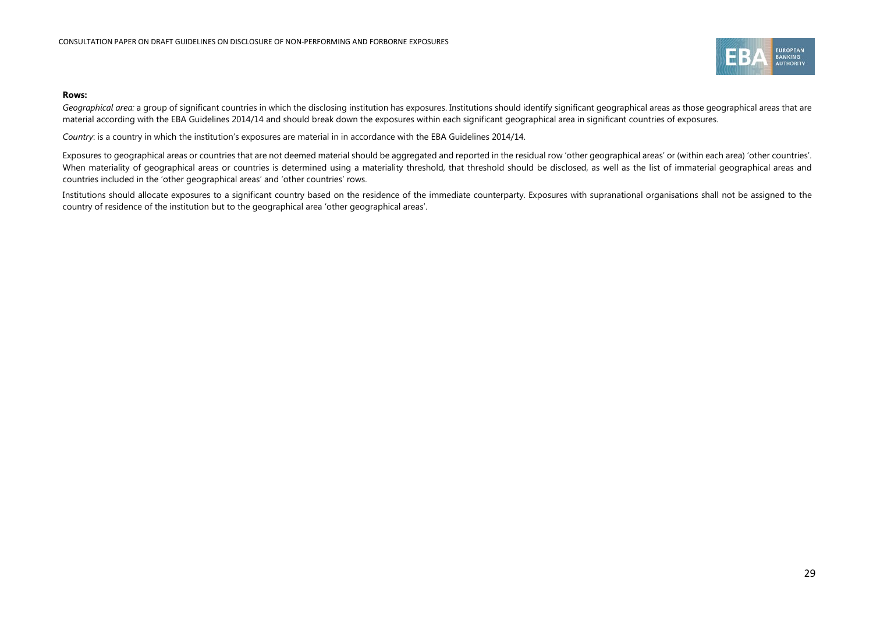

#### **Rows:**

Geographical area: a group of significant countries in which the disclosing institution has exposures. Institutions should identify significant geographical areas as those geographical areas that are material according with the EBA Guidelines 2014/14 and should break down the exposures within each significant geographical area in significant countries of exposures.

*Country*: is a country in which the institution's exposures are material in in accordance with the EBA Guidelines 2014/14.

Exposures to geographical areas or countries that are not deemed material should be aggregated and reported in the residual row 'other geographical areas' or (within each area) 'other countries'. When materiality of geographical areas or countries is determined using a materiality threshold, that threshold should be disclosed, as well as the list of immaterial geographical areas and countries included in the 'other geographical areas' and 'other countries' rows.

Institutions should allocate exposures to a significant country based on the residence of the immediate counterparty. Exposures with supranational organisations shall not be assigned to the country of residence of the institution but to the geographical area 'other geographical areas'.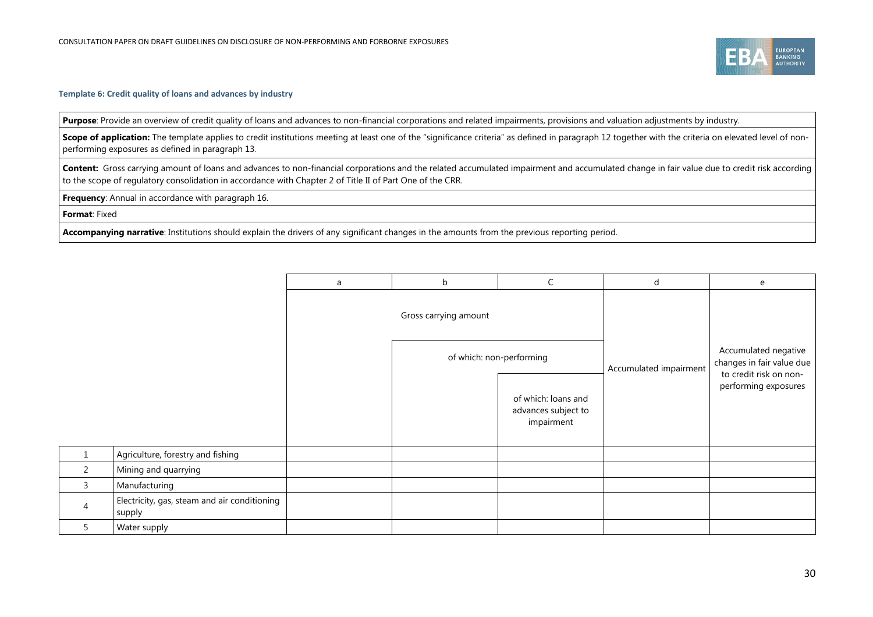

#### **Template 6: Credit quality of loans and advances by industry**

Purpose: Provide an overview of credit quality of loans and advances to non-financial corporations and related impairments, provisions and valuation adjustments by industry.

**Scope of application:** The template applies to credit institutions meeting at least one of the "significance criteria" as defined in paragraph 12 together with the criteria on elevated level of nonperforming exposures as defined in paragraph 13.

Content: Gross carrying amount of loans and advances to non-financial corporations and the related accumulated impairment and accumulated change in fair value due to credit risk according to the scope of regulatory consolidation in accordance with Chapter 2 of Title II of Part One of the CRR.

**Frequency**: Annual in accordance with paragraph [16.](#page-12-4)

**Format**: Fixed

 $5<sub>o</sub>$ 

**Accompanying narrative**: Institutions should explain the drivers of any significant changes in the amounts from the previous reporting period.

|   |                                                        | a | b                        |                                                          | d                      | e                                                                           |
|---|--------------------------------------------------------|---|--------------------------|----------------------------------------------------------|------------------------|-----------------------------------------------------------------------------|
|   |                                                        |   | Gross carrying amount    |                                                          |                        |                                                                             |
|   |                                                        |   | of which: non-performing |                                                          | Accumulated impairment | Accumulated negative<br>changes in fair value due<br>to credit risk on non- |
|   |                                                        |   |                          | of which: loans and<br>advances subject to<br>impairment |                        | performing exposures                                                        |
|   | Agriculture, forestry and fishing                      |   |                          |                                                          |                        |                                                                             |
|   | Mining and quarrying                                   |   |                          |                                                          |                        |                                                                             |
|   | Manufacturing                                          |   |                          |                                                          |                        |                                                                             |
| 4 | Electricity, gas, steam and air conditioning<br>supply |   |                          |                                                          |                        |                                                                             |
|   | Water supply                                           |   |                          |                                                          |                        |                                                                             |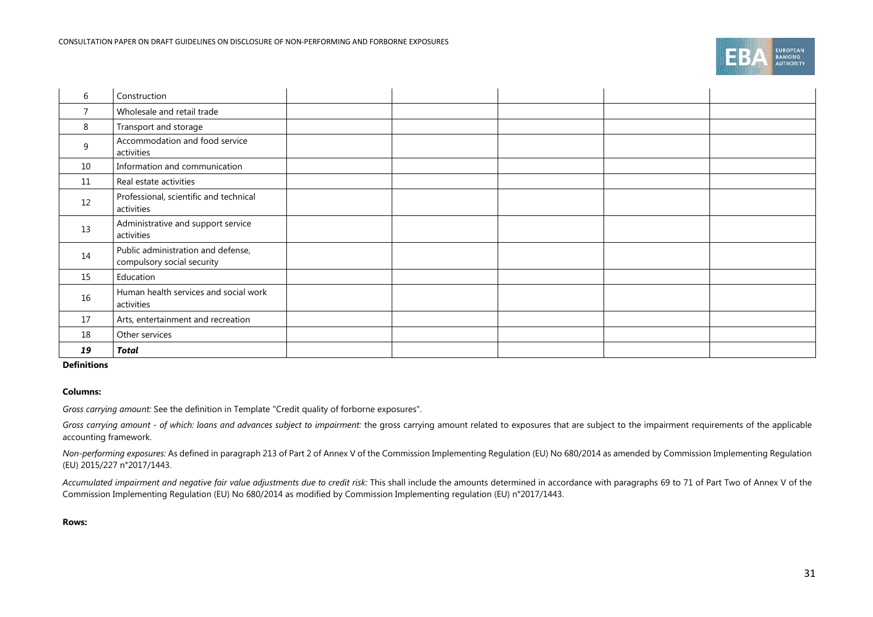|  | <b>EUROPEAN</b><br><b>BANKING</b><br><b>AUTHORITY</b> |
|--|-------------------------------------------------------|
|--|-------------------------------------------------------|

| 6              | Construction                                                     |  |  |  |
|----------------|------------------------------------------------------------------|--|--|--|
| $\overline{7}$ | Wholesale and retail trade                                       |  |  |  |
| 8              | Transport and storage                                            |  |  |  |
| 9              | Accommodation and food service<br>activities                     |  |  |  |
| 10             | Information and communication                                    |  |  |  |
| 11             | Real estate activities                                           |  |  |  |
| 12             | Professional, scientific and technical<br>activities             |  |  |  |
| 13             | Administrative and support service<br>activities                 |  |  |  |
| 14             | Public administration and defense,<br>compulsory social security |  |  |  |
| 15             | Education                                                        |  |  |  |
| 16             | Human health services and social work<br>activities              |  |  |  |
| 17             | Arts, entertainment and recreation                               |  |  |  |
| 18             | Other services                                                   |  |  |  |
| 19             | Total                                                            |  |  |  |

#### **Definitions**

#### **Columns:**

*Gross carrying amount:* See the definition in Template "Credit quality of forborne exposures".

Gross carrying amount - of which: loans and advances subject to impairment: the gross carrying amount related to exposures that are subject to the impairment requirements of the applicable accounting framework.

*Non-performing exposures:* As defined in paragraph 213 of Part 2 of Annex V of the Commission Implementing Regulation (EU) No 680/2014 as amended by Commission Implementing Regulation (EU) 2015/227 n°2017/1443.

Accumulated impairment and negative fair value adjustments due to credit risk: This shall include the amounts determined in accordance with paragraphs 69 to 71 of Part Two of Annex V of the Commission Implementing Regulation (EU) No 680/2014 as modified by Commission Implementing regulation (EU) n°2017/1443.

**Rows:**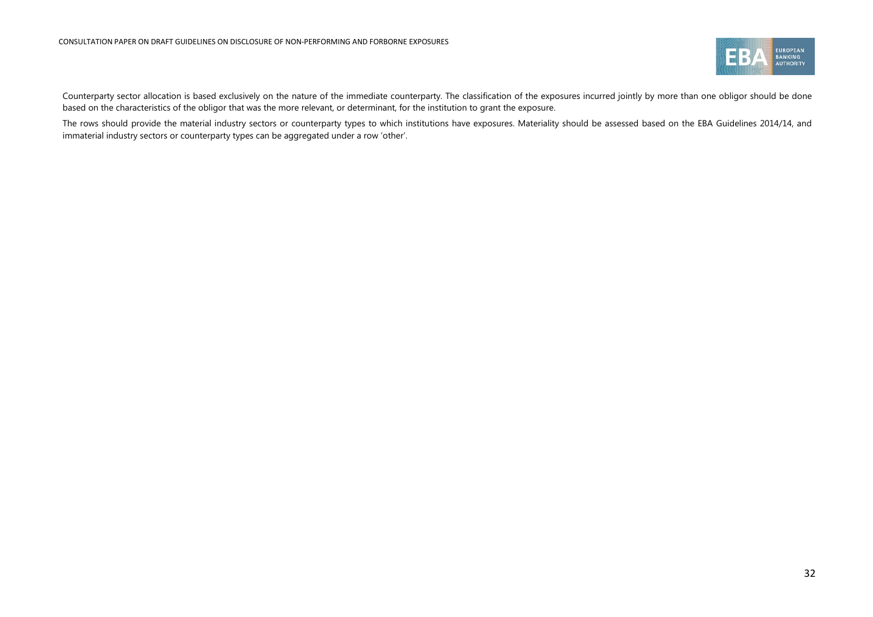

Counterparty sector allocation is based exclusively on the nature of the immediate counterparty. The classification of the exposures incurred jointly by more than one obligor should be done based on the characteristics of the obligor that was the more relevant, or determinant, for the institution to grant the exposure.

The rows should provide the material industry sectors or counterparty types to which institutions have exposures. Materiality should be assessed based on the EBA Guidelines 2014/14, and immaterial industry sectors or counterparty types can be aggregated under a row 'other'.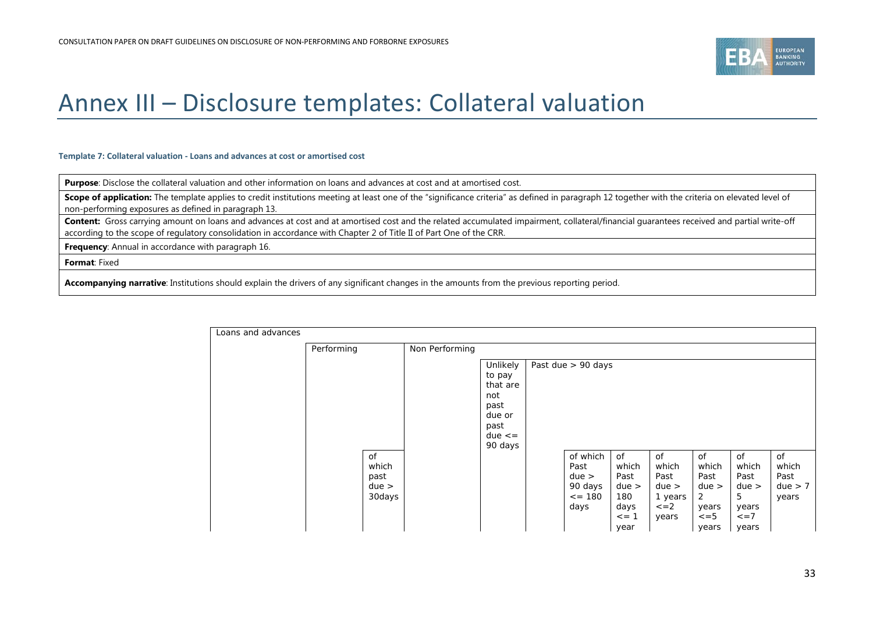

# Annex III – Disclosure templates: Collateral valuation

#### **Template 7: Collateral valuation - Loans and advances at cost or amortised cost**

**Purpose**: Disclose the collateral valuation and other information on loans and advances at cost and at amortised cost.

Scope of application: The template applies to credit institutions meeting at least one of the "significance criteria" as defined in paragraph 12 together with the criteria on elevated level of non-performing exposures as defined in paragraph 13.

Content: Gross carrying amount on loans and advances at cost and at amortised cost and the related accumulated impairment, collateral/financial guarantees received and partial write-off according to the scope of regulatory consolidation in accordance with Chapter 2 of Title II of Part One of the CRR.

**Frequency**: Annual in accordance with paragrap[h 16.](#page-12-4)

**Format**: Fixed

<span id="page-32-0"></span>**Accompanying narrative**: Institutions should explain the drivers of any significant changes in the amounts from the previous reporting period.

| Loans and advances |            |                                        |                |                                                                                         |                                                              |                                                                   |                                                                       |                                                                          |                                                                          |                                         |
|--------------------|------------|----------------------------------------|----------------|-----------------------------------------------------------------------------------------|--------------------------------------------------------------|-------------------------------------------------------------------|-----------------------------------------------------------------------|--------------------------------------------------------------------------|--------------------------------------------------------------------------|-----------------------------------------|
|                    | Performing |                                        | Non Performing |                                                                                         |                                                              |                                                                   |                                                                       |                                                                          |                                                                          |                                         |
|                    |            |                                        |                | Unlikely<br>to pay<br>that are<br>not<br>past<br>due or<br>past<br>$due < =$<br>90 days | Past due > 90 days                                           |                                                                   |                                                                       |                                                                          |                                                                          |                                         |
|                    |            | of<br>which<br>past<br>due ><br>30days |                |                                                                                         | of which<br>Past<br>due ><br>90 days<br>$\leq$ = 180<br>days | of<br>which<br>Past<br>due ><br>180<br>days<br>$\leq$ = 1<br>year | <b>of</b><br>which<br>Past<br>due ><br>1 years<br>$\leq$ = 2<br>years | <b>of</b><br>which<br>Past<br>due ><br>2<br>years<br>$\leq$ = 5<br>years | <b>of</b><br>which<br>Past<br>due ><br>5<br>years<br>$\leq$ = 7<br>years | of<br>which<br>Past<br>due > 7<br>years |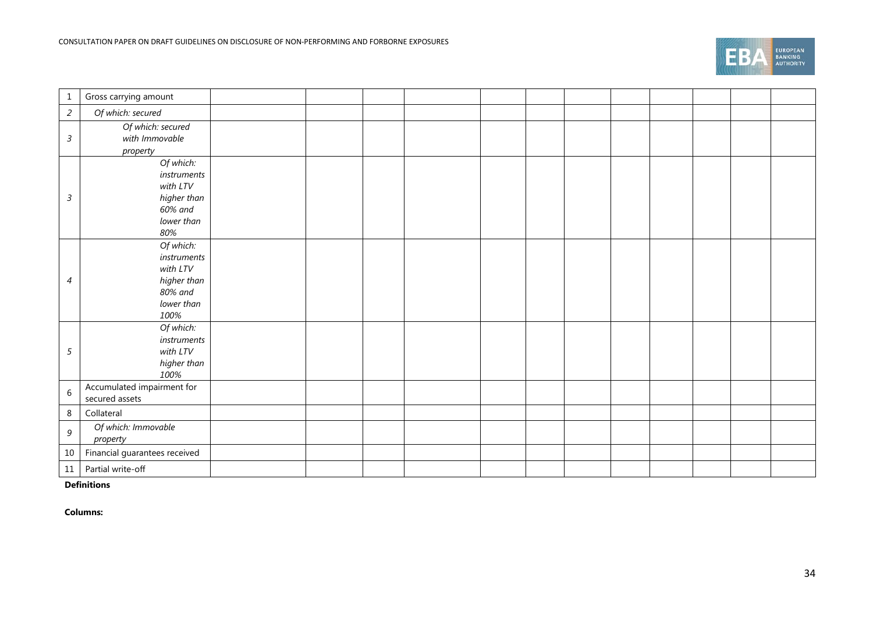|  | <b>EUROPEAN</b><br><b>BANKING</b><br><b>AUTHORITY</b> |
|--|-------------------------------------------------------|
|--|-------------------------------------------------------|

| 1                | Gross carrying amount                                                                |  |  |  |  |  |  |
|------------------|--------------------------------------------------------------------------------------|--|--|--|--|--|--|
| $\overline{a}$   | Of which: secured                                                                    |  |  |  |  |  |  |
| $\mathfrak{Z}$   | Of which: secured<br>with Immovable<br>property                                      |  |  |  |  |  |  |
| 3                | Of which:<br>instruments<br>with LTV<br>higher than<br>60% and<br>lower than<br>80%  |  |  |  |  |  |  |
| 4                | Of which:<br>instruments<br>with LTV<br>higher than<br>80% and<br>lower than<br>100% |  |  |  |  |  |  |
| 5                | Of which:<br>instruments<br>with LTV<br>higher than<br>100%                          |  |  |  |  |  |  |
| 6                | Accumulated impairment for<br>secured assets                                         |  |  |  |  |  |  |
| 8                | Collateral                                                                           |  |  |  |  |  |  |
| $\boldsymbol{9}$ | Of which: Immovable<br>property                                                      |  |  |  |  |  |  |
| 10               | Financial guarantees received                                                        |  |  |  |  |  |  |
| 11               | Partial write-off                                                                    |  |  |  |  |  |  |

**Definitions**

**Columns:**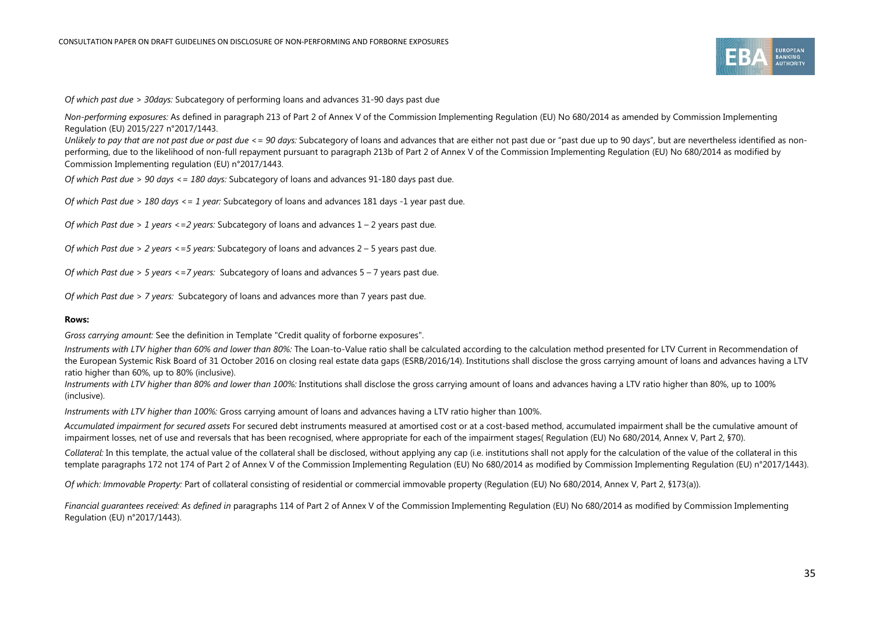

*Of which past due > 30days:* Subcategory of performing loans and advances 31-90 days past due

*Non-performing exposures:* As defined in paragraph 213 of Part 2 of Annex V of the Commission Implementing Regulation (EU) No 680/2014 as amended by Commission Implementing Regulation (EU) 2015/227 n°2017/1443.

Unlikely to pay that are not past due or past due <= 90 days: Subcategory of loans and advances that are either not past due or "past due up to 90 days", but are nevertheless identified as nonperforming, due to the likelihood of non-full repayment pursuant to paragraph 213b of Part 2 of Annex V of the Commission Implementing Regulation (EU) No 680/2014 as modified by Commission Implementing regulation (EU) n°2017/1443.

*Of which Past due > 90 days <= 180 days:* Subcategory of loans and advances 91-180 days past due.

*Of which Past due > 180 days <= 1 year:* Subcategory of loans and advances 181 days -1 year past due.

*Of which Past due > 1 years <=2 years:* Subcategory of loans and advances 1 – 2 years past due.

*Of which Past due > 2 years <=5 years:* Subcategory of loans and advances 2 – 5 years past due.

*Of which Past due > 5 years <=7 years:* Subcategory of loans and advances 5 – 7 years past due.

*Of which Past due > 7 years:* Subcategory of loans and advances more than 7 years past due.

#### **Rows:**

*Gross carrying amount:* See the definition in Template "Credit quality of forborne exposures".

Instruments with LTV higher than 60% and lower than 80%: The Loan-to-Value ratio shall be calculated according to the calculation method presented for LTV Current in Recommendation of the European Systemic Risk Board of 31 October 2016 on closing real estate data gaps (ESRB/2016/14). Institutions shall disclose the gross carrying amount of loans and advances having a LTV ratio higher than 60%, up to 80% (inclusive).

Instruments with LTV higher than 80% and lower than 100%: Institutions shall disclose the gross carrying amount of loans and advances having a LTV ratio higher than 80%, up to 100% (inclusive).

*Instruments with LTV higher than 100%:* Gross carrying amount of loans and advances having a LTV ratio higher than 100%.

*Accumulated impairment for secured assets* For secured debt instruments measured at amortised cost or at a cost-based method, accumulated impairment shall be the cumulative amount of impairment losses, net of use and reversals that has been recognised, where appropriate for each of the impairment stages( Regulation (EU) No 680/2014, Annex V, Part 2, §70).

*Collateral:* In this template, the actual value of the collateral shall be disclosed, without applying any cap (i.e. institutions shall not apply for the calculation of the value of the collateral in this template paragraphs 172 not 174 of Part 2 of Annex V of the Commission Implementing Regulation (EU) No 680/2014 as modified by Commission Implementing Regulation (EU) n°2017/1443).

*Of which: Immovable Property:* Part of collateral consisting of residential or commercial immovable property (Regulation (EU) No 680/2014, Annex V, Part 2, §173(a)).

*Financial guarantees received: As defined in* paragraphs 114 of Part 2 of Annex V of the Commission Implementing Regulation (EU) No 680/2014 as modified by Commission Implementing Regulation (EU) n°2017/1443).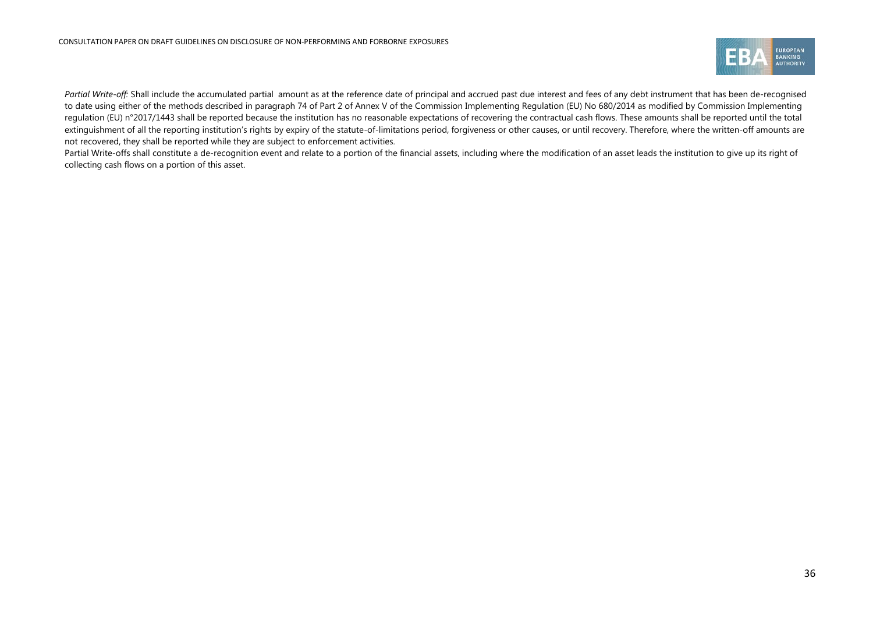

Partial Write-off: Shall include the accumulated partial amount as at the reference date of principal and accrued past due interest and fees of any debt instrument that has been de-recognised to date using either of the methods described in paragraph 74 of Part 2 of Annex V of the Commission Implementing Regulation (EU) No 680/2014 as modified by Commission Implementing regulation (EU) n°2017/1443 shall be reported because the institution has no reasonable expectations of recovering the contractual cash flows. These amounts shall be reported until the total extinguishment of all the reporting institution's rights by expiry of the statute-of-limitations period, forgiveness or other causes, or until recovery. Therefore, where the written-off amounts are not recovered, they shall be reported while they are subject to enforcement activities.

Partial Write-offs shall constitute a de-recognition event and relate to a portion of the financial assets, including where the modification of an asset leads the institution to give up its right of collecting cash flows on a portion of this asset.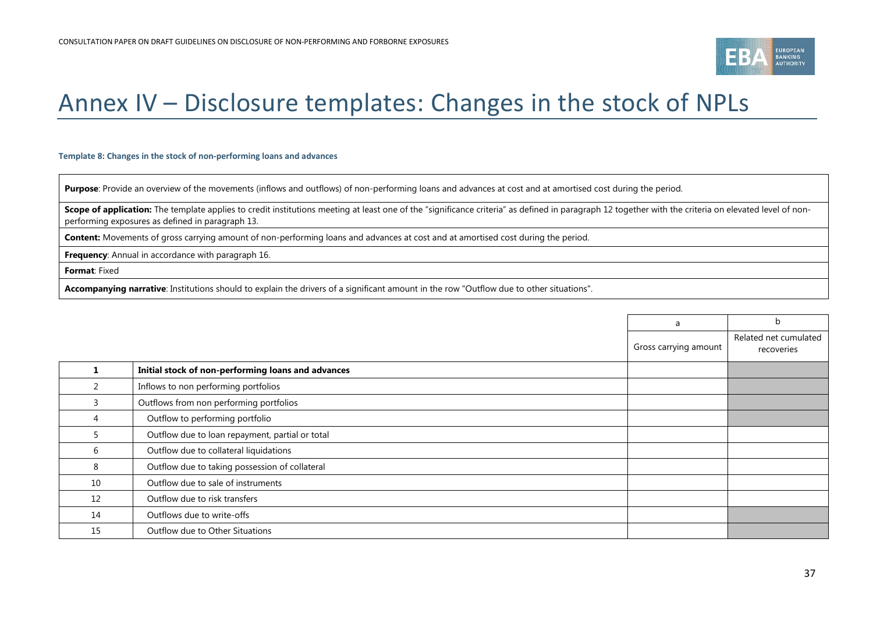

# Annex IV – Disclosure templates: Changes in the stock of NPLs

#### **Template 8: Changes in the stock of non-performing loans and advances**

Purpose: Provide an overview of the movements (inflows and outflows) of non-performing loans and advances at cost and at amortised cost during the period.

Scope of application: The template applies to credit institutions meeting at least one of the "significance criteria" as defined in paragraph 12 together with the criteria on elevated level of nonperforming exposures as defined in paragraph 13.

**Content:** Movements of gross carrying amount of non-performing loans and advances at cost and at amortised cost during the period.

**Frequency**: Annual in accordance with paragrap[h 16.](#page-12-4)

**Format**: Fixed

**Accompanying narrative**: Institutions should to explain the drivers of a significant amount in the row "Outflow due to other situations".

<span id="page-36-0"></span>

|    |                                                    | a                     | b                                   |
|----|----------------------------------------------------|-----------------------|-------------------------------------|
|    |                                                    | Gross carrying amount | Related net cumulated<br>recoveries |
|    | Initial stock of non-performing loans and advances |                       |                                     |
|    | Inflows to non performing portfolios               |                       |                                     |
| 3  | Outflows from non performing portfolios            |                       |                                     |
|    | Outflow to performing portfolio                    |                       |                                     |
| 5. | Outflow due to loan repayment, partial or total    |                       |                                     |
| 6  | Outflow due to collateral liquidations             |                       |                                     |
| 8  | Outflow due to taking possession of collateral     |                       |                                     |
| 10 | Outflow due to sale of instruments                 |                       |                                     |
| 12 | Outflow due to risk transfers                      |                       |                                     |
| 14 | Outflows due to write-offs                         |                       |                                     |
| 15 | Outflow due to Other Situations                    |                       |                                     |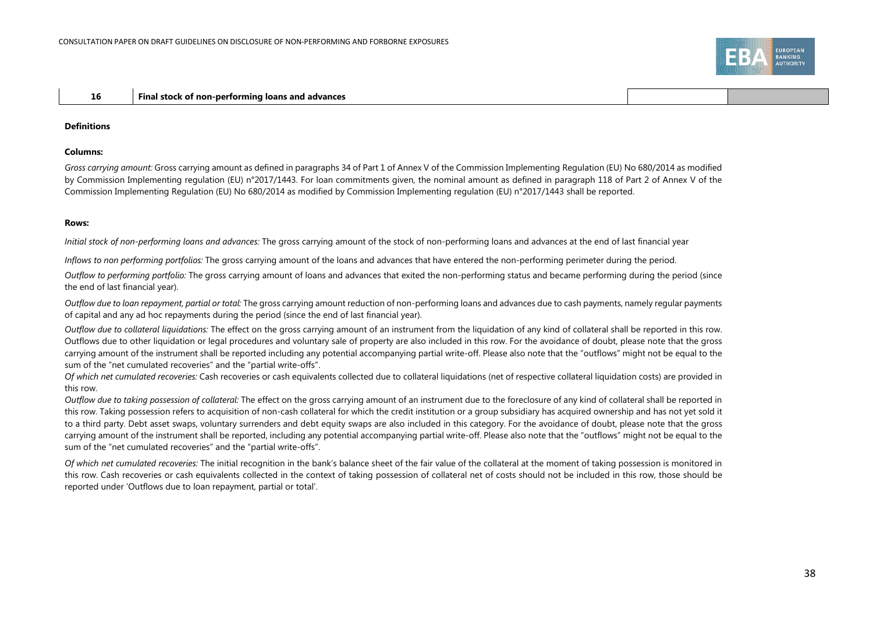#### **16 Final stock of non-performing loans and advances**

#### **Definitions**

#### **Columns:**

*Gross carrying amount:* Gross carrying amount as defined in paragraphs 34 of Part 1 of Annex V of the Commission Implementing Regulation (EU) No 680/2014 as modified by Commission Implementing regulation (EU) n°2017/1443. For loan commitments given, the nominal amount as defined in paragraph 118 of Part 2 of Annex V of the Commission Implementing Regulation (EU) No 680/2014 as modified by Commission Implementing regulation (EU) n°2017/1443 shall be reported.

#### **Rows:**

*Initial stock of non-performing loans and advances:* The gross carrying amount of the stock of non-performing loans and advances at the end of last financial year

*Inflows to non performing portfolios:* The gross carrying amount of the loans and advances that have entered the non-performing perimeter during the period.

*Outflow to performing portfolio:* The gross carrying amount of loans and advances that exited the non-performing status and became performing during the period (since the end of last financial year).

*Outflow due to loan repayment, partial or total:* The gross carrying amount reduction of non-performing loans and advances due to cash payments, namely regular payments of capital and any ad hoc repayments during the period (since the end of last financial year).

*Outflow due to collateral liquidations:* The effect on the gross carrying amount of an instrument from the liquidation of any kind of collateral shall be reported in this row. Outflows due to other liquidation or legal procedures and voluntary sale of property are also included in this row. For the avoidance of doubt, please note that the gross carrying amount of the instrument shall be reported including any potential accompanying partial write-off. Please also note that the "outflows" might not be equal to the sum of the "net cumulated recoveries" and the "partial write-offs".

*Of which net cumulated recoveries:* Cash recoveries or cash equivalents collected due to collateral liquidations (net of respective collateral liquidation costs) are provided in this row.

*Outflow due to taking possession of collateral:* The effect on the gross carrying amount of an instrument due to the foreclosure of any kind of collateral shall be reported in this row. Taking possession refers to acquisition of non-cash collateral for which the credit institution or a group subsidiary has acquired ownership and has not yet sold it to a third party. Debt asset swaps, voluntary surrenders and debt equity swaps are also included in this category. For the avoidance of doubt, please note that the gross carrying amount of the instrument shall be reported, including any potential accompanying partial write-off. Please also note that the "outflows" might not be equal to the sum of the "net cumulated recoveries" and the "partial write-offs".

*Of which net cumulated recoveries:* The initial recognition in the bank's balance sheet of the fair value of the collateral at the moment of taking possession is monitored in this row. Cash recoveries or cash equivalents collected in the context of taking possession of collateral net of costs should not be included in this row, those should be reported under 'Outflows due to loan repayment, partial or total'.

ANKING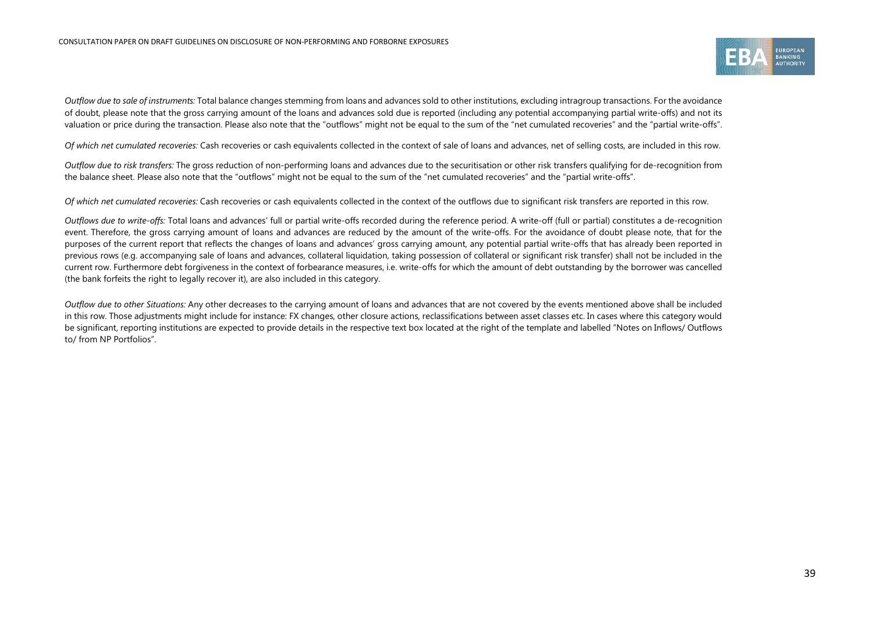

*Outflow due to sale of instruments:* Total balance changes stemming from loans and advances sold to other institutions, excluding intragroup transactions. For the avoidance of doubt, please note that the gross carrying amount of the loans and advances sold due is reported (including any potential accompanying partial write-offs) and not its valuation or price during the transaction. Please also note that the "outflows" might not be equal to the sum of the "net cumulated recoveries" and the "partial write-offs".

*Of which net cumulated recoveries:* Cash recoveries or cash equivalents collected in the context of sale of loans and advances, net of selling costs, are included in this row.

*Outflow due to risk transfers:* The gross reduction of non-performing loans and advances due to the securitisation or other risk transfers qualifying for de-recognition from the balance sheet. Please also note that the "outflows" might not be equal to the sum of the "net cumulated recoveries" and the "partial write-offs".

*Of which net cumulated recoveries:* Cash recoveries or cash equivalents collected in the context of the outflows due to significant risk transfers are reported in this row.

*Outflows due to write-offs:* Total loans and advances' full or partial write-offs recorded during the reference period. A write-off (full or partial) constitutes a de-recognition event. Therefore, the gross carrying amount of loans and advances are reduced by the amount of the write-offs. For the avoidance of doubt please note, that for the purposes of the current report that reflects the changes of loans and advances' gross carrying amount, any potential partial write-offs that has already been reported in previous rows (e.g. accompanying sale of loans and advances, collateral liquidation, taking possession of collateral or significant risk transfer) shall not be included in the current row. Furthermore debt forgiveness in the context of forbearance measures, i.e. write-offs for which the amount of debt outstanding by the borrower was cancelled (the bank forfeits the right to legally recover it), are also included in this category.

*Outflow due to other Situations:* Any other decreases to the carrying amount of loans and advances that are not covered by the events mentioned above shall be included in this row. Those adjustments might include for instance: FX changes, other closure actions, reclassifications between asset classes etc. In cases where this category would be significant, reporting institutions are expected to provide details in the respective text box located at the right of the template and labelled "Notes on Inflows/ Outflows to/ from NP Portfolios".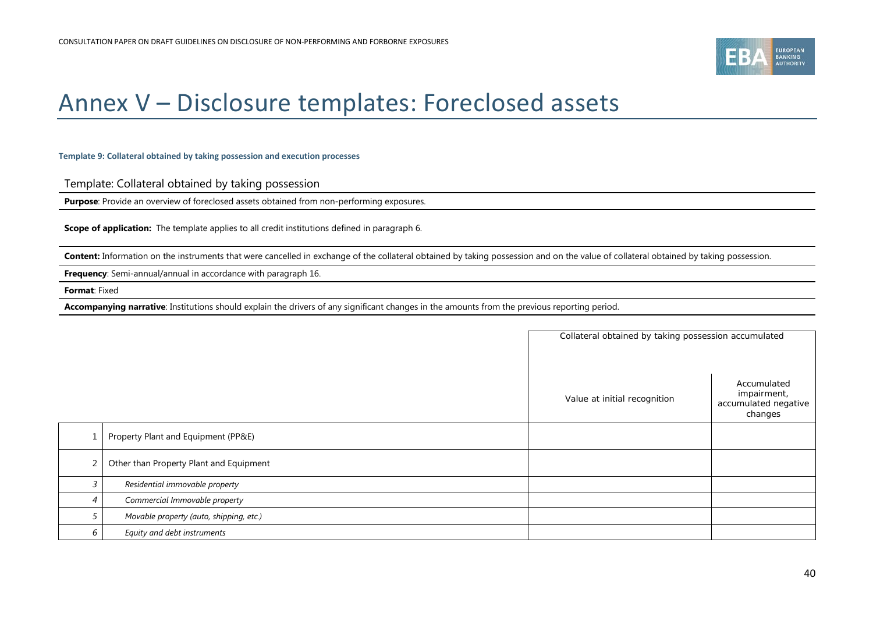

# Annex V – Disclosure templates: Foreclosed assets

#### **Template 9: Collateral obtained by taking possession and execution processes**

Template: Collateral obtained by taking possession

**Purpose**: Provide an overview of foreclosed assets obtained from non-performing exposures.

**Scope of application:** The template applies to all credit institutions defined in paragrap[h 6.](#page-11-3)

Content: Information on the instruments that were cancelled in exchange of the collateral obtained by taking possession and on the value of collateral obtained by taking possession.

**Frequency:** Semi-annual/annual in accordance with paragrap[h 16.](#page-12-4)

**Format**: Fixed

**Accompanying narrative**: Institutions should explain the drivers of any significant changes in the amounts from the previous reporting period.

<span id="page-39-0"></span>

|                |                                         | Collateral obtained by taking possession accumulated |                                                               |  |
|----------------|-----------------------------------------|------------------------------------------------------|---------------------------------------------------------------|--|
|                |                                         | Value at initial recognition                         | Accumulated<br>impairment,<br>accumulated negative<br>changes |  |
|                | Property Plant and Equipment (PP&E)     |                                                      |                                                               |  |
| 2              | Other than Property Plant and Equipment |                                                      |                                                               |  |
| 3              | Residential immovable property          |                                                      |                                                               |  |
| $\overline{4}$ | Commercial Immovable property           |                                                      |                                                               |  |
| 5              | Movable property (auto, shipping, etc.) |                                                      |                                                               |  |
| 6              | Equity and debt instruments             |                                                      |                                                               |  |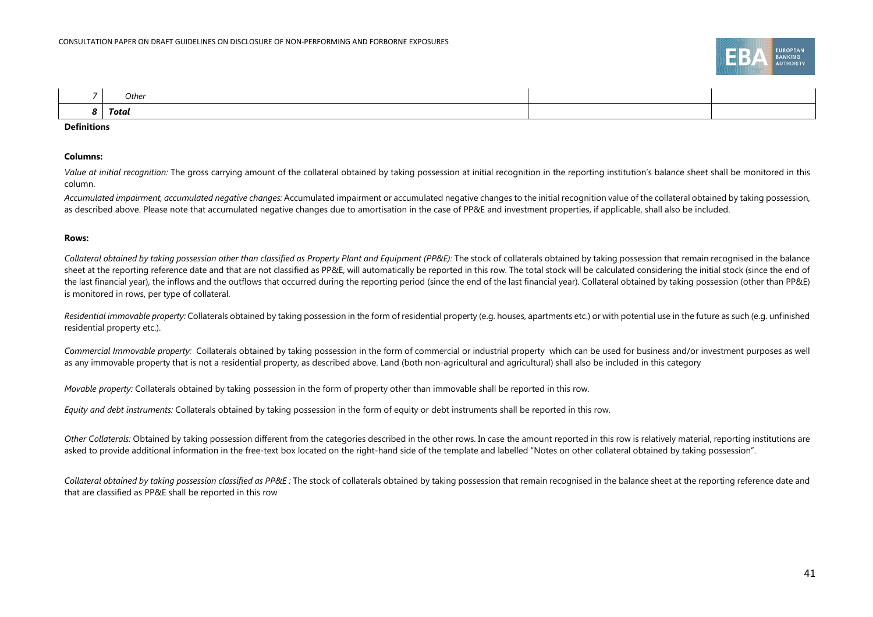

| Other |  |
|-------|--|
| Total |  |

#### **Definitions**

#### **Columns:**

Value at initial recognition: The gross carrying amount of the collateral obtained by taking possession at initial recognition in the reporting institution's balance sheet shall be monitored in this column.

*Accumulated impairment, accumulated negative changes:* Accumulated impairment or accumulated negative changes to the initial recognition value of the collateral obtained by taking possession, as described above. Please note that accumulated negative changes due to amortisation in the case of PP&E and investment properties, if applicable, shall also be included.

#### **Rows:**

Collateral obtained by taking possession other than classified as Property Plant and Equipment (PP&E): The stock of collaterals obtained by taking possession that remain recognised in the balance sheet at the reporting reference date and that are not classified as PP&E, will automatically be reported in this row. The total stock will be calculated considering the initial stock (since the end of the last financial year), the inflows and the outflows that occurred during the reporting period (since the end of the last financial year). Collateral obtained by taking possession (other than PP&E) is monitored in rows, per type of collateral.

*Residential immovable property:* Collaterals obtained by taking possession in the form of residential property (e.g. houses, apartments etc.) or with potential use in the future as such (e.g. unfinished residential property etc.).

*Commercial Immovable property:* Collaterals obtained by taking possession in the form of commercial or industrial property which can be used for business and/or investment purposes as well as any immovable property that is not a residential property, as described above. Land (both non-agricultural and agricultural) shall also be included in this category

*Movable property:* Collaterals obtained by taking possession in the form of property other than immovable shall be reported in this row.

*Equity and debt instruments:* Collaterals obtained by taking possession in the form of equity or debt instruments shall be reported in this row.

*Other Collaterals:* Obtained by taking possession different from the categories described in the other rows. In case the amount reported in this row is relatively material, reporting institutions are asked to provide additional information in the free-text box located on the right-hand side of the template and labelled "Notes on other collateral obtained by taking possession".

Collateral obtained by taking possession classified as PP&E: The stock of collaterals obtained by taking possession that remain recognised in the balance sheet at the reporting reference date and that are classified as PP&E shall be reported in this row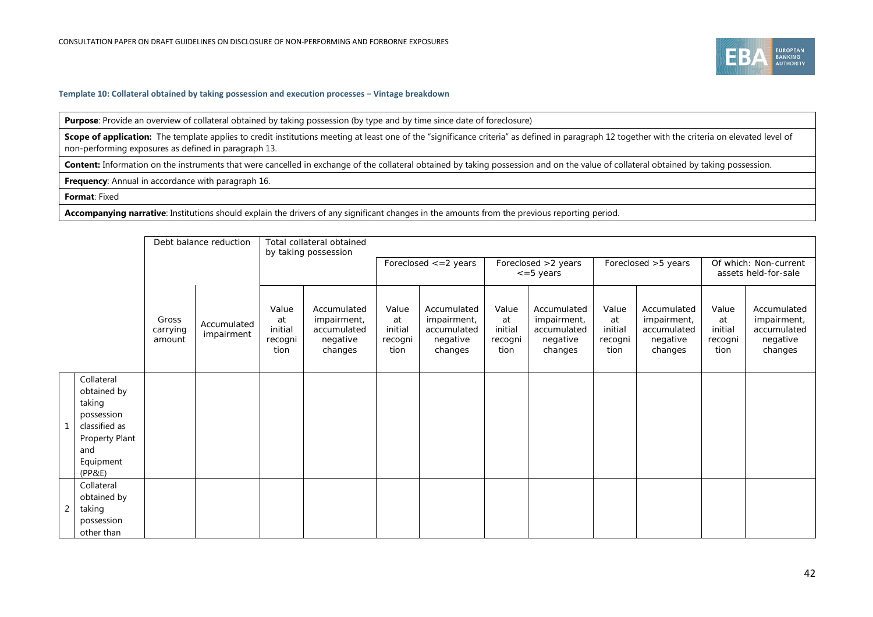

#### **Template 10: Collateral obtained by taking possession and execution processes – Vintage breakdown**

**Purpose**: Provide an overview of collateral obtained by taking possession (by type and by time since date of foreclosure)

Scope of application: The template applies to credit institutions meeting at least one of the "significance criteria" as defined in paragraph 12 together with the criteria on elevated level of non-performing exposures as defined in paragraph 13.

Content: Information on the instruments that were cancelled in exchange of the collateral obtained by taking possession and on the value of collateral obtained by taking possession.

**Frequency**: Annual in accordance with paragrap[h 16.](#page-12-4)

#### **Format**: Fixed

**Accompanying narrative**: Institutions should explain the drivers of any significant changes in the amounts from the previous reporting period.

|                                                                                                                    |                             | Debt balance reduction    |                                           | Total collateral obtained<br>by taking possession                |                                           |                                                                  |                                           |                                                                  |                                           |                                                                  |                                           |                                                                  |  |
|--------------------------------------------------------------------------------------------------------------------|-----------------------------|---------------------------|-------------------------------------------|------------------------------------------------------------------|-------------------------------------------|------------------------------------------------------------------|-------------------------------------------|------------------------------------------------------------------|-------------------------------------------|------------------------------------------------------------------|-------------------------------------------|------------------------------------------------------------------|--|
|                                                                                                                    |                             |                           |                                           |                                                                  |                                           | Foreclosed $\leq$ = 2 years                                      |                                           | Foreclosed >2 years<br>$\epsilon = 5$ years                      |                                           | Foreclosed > 5 years                                             |                                           | Of which: Non-current<br>assets held-for-sale                    |  |
|                                                                                                                    | Gross<br>carrying<br>amount | Accumulated<br>impairment | Value<br>at<br>initial<br>recogni<br>tion | Accumulated<br>impairment,<br>accumulated<br>negative<br>changes | Value<br>at<br>initial<br>recogni<br>tion | Accumulated<br>impairment,<br>accumulated<br>negative<br>changes | Value<br>at<br>initial<br>recogni<br>tion | Accumulated<br>impairment,<br>accumulated<br>negative<br>changes | Value<br>at<br>initial<br>recogni<br>tion | Accumulated<br>impairment,<br>accumulated<br>negative<br>changes | Value<br>at<br>initial<br>recogni<br>tion | Accumulated<br>impairment,<br>accumulated<br>negative<br>changes |  |
| Collateral<br>obtained by<br>taking<br>possession<br>classified as<br>Property Plant<br>and<br>Equipment<br>(PP&E) |                             |                           |                                           |                                                                  |                                           |                                                                  |                                           |                                                                  |                                           |                                                                  |                                           |                                                                  |  |
| Collateral<br>obtained by<br>taking<br>possession<br>other than                                                    |                             |                           |                                           |                                                                  |                                           |                                                                  |                                           |                                                                  |                                           |                                                                  |                                           |                                                                  |  |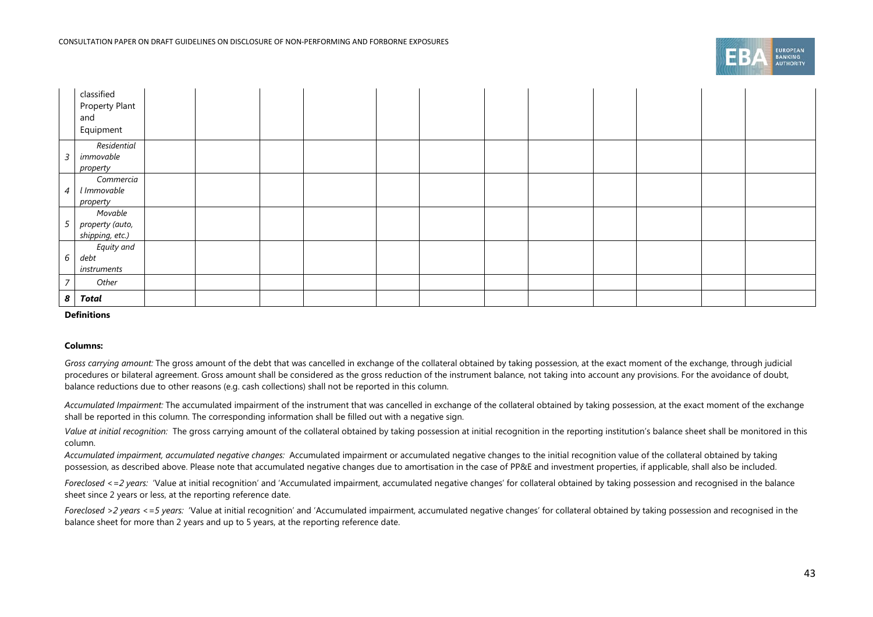

|                 | classified<br>Property Plant<br>and<br>Equipment |  |  |  |  |  |  |
|-----------------|--------------------------------------------------|--|--|--|--|--|--|
| $\overline{3}$  | Residential<br>immovable<br>property             |  |  |  |  |  |  |
| $\overline{4}$  | Commercia<br>l Immovable<br>property             |  |  |  |  |  |  |
| $5\overline{)}$ | Movable<br>property (auto,<br>shipping, etc.)    |  |  |  |  |  |  |
| $6\overline{6}$ | Equity and<br>debt<br>instruments                |  |  |  |  |  |  |
| $\overline{7}$  | Other                                            |  |  |  |  |  |  |
| $\pmb{8}$       | Total                                            |  |  |  |  |  |  |

#### **Definitions**

#### **Columns:**

*Gross carrying amount:* The gross amount of the debt that was cancelled in exchange of the collateral obtained by taking possession, at the exact moment of the exchange, through judicial procedures or bilateral agreement. Gross amount shall be considered as the gross reduction of the instrument balance, not taking into account any provisions. For the avoidance of doubt, balance reductions due to other reasons (e.g. cash collections) shall not be reported in this column.

*Accumulated Impairment:* The accumulated impairment of the instrument that was cancelled in exchange of the collateral obtained by taking possession, at the exact moment of the exchange shall be reported in this column. The corresponding information shall be filled out with a negative sign.

Value at initial recognition: The gross carrying amount of the collateral obtained by taking possession at initial recognition in the reporting institution's balance sheet shall be monitored in this column.

*Accumulated impairment, accumulated negative changes:* Accumulated impairment or accumulated negative changes to the initial recognition value of the collateral obtained by taking possession, as described above. Please note that accumulated negative changes due to amortisation in the case of PP&E and investment properties, if applicable, shall also be included.

Foreclosed <=2 years: 'Value at initial recognition' and 'Accumulated impairment, accumulated negative changes' for collateral obtained by taking possession and recognised in the balance sheet since 2 years or less, at the reporting reference date.

Foreclosed >2 years <=5 years: 'Value at initial recognition' and 'Accumulated impairment, accumulated negative changes' for collateral obtained by taking possession and recognised in the balance sheet for more than 2 years and up to 5 years, at the reporting reference date.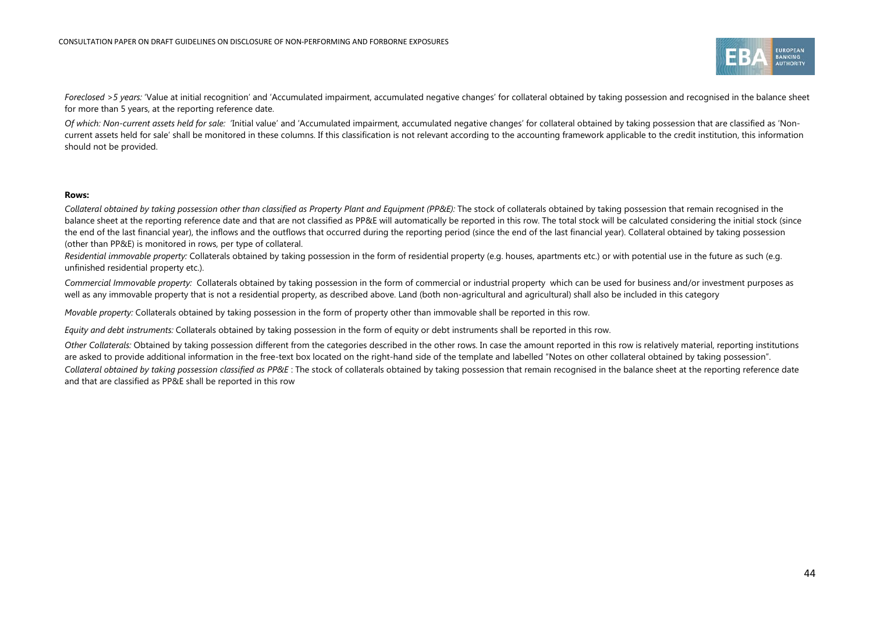

Foreclosed >5 years: 'Value at initial recognition' and 'Accumulated impairment, accumulated negative changes' for collateral obtained by taking possession and recognised in the balance sheet for more than 5 years, at the reporting reference date.

*Of which: Non-current assets held for sale:* 'Initial value' and 'Accumulated impairment, accumulated negative changes' for collateral obtained by taking possession that are classified as 'Noncurrent assets held for sale' shall be monitored in these columns. If this classification is not relevant according to the accounting framework applicable to the credit institution, this information should not be provided.

#### **Rows:**

*Collateral obtained by taking possession other than classified as Property Plant and Equipment (PP&E):* The stock of collaterals obtained by taking possession that remain recognised in the balance sheet at the reporting reference date and that are not classified as PP&E will automatically be reported in this row. The total stock will be calculated considering the initial stock (since the end of the last financial year), the inflows and the outflows that occurred during the reporting period (since the end of the last financial year). Collateral obtained by taking possession (other than PP&E) is monitored in rows, per type of collateral.

*Residential immovable property:* Collaterals obtained by taking possession in the form of residential property (e.g. houses, apartments etc.) or with potential use in the future as such (e.g. unfinished residential property etc.).

*Commercial Immovable property:* Collaterals obtained by taking possession in the form of commercial or industrial property which can be used for business and/or investment purposes as well as any immovable property that is not a residential property, as described above. Land (both non-agricultural and agricultural) shall also be included in this category

*Movable property:* Collaterals obtained by taking possession in the form of property other than immovable shall be reported in this row.

*Equity and debt instruments:* Collaterals obtained by taking possession in the form of equity or debt instruments shall be reported in this row.

*Other Collaterals:* Obtained by taking possession different from the categories described in the other rows. In case the amount reported in this row is relatively material, reporting institutions are asked to provide additional information in the free-text box located on the right-hand side of the template and labelled "Notes on other collateral obtained by taking possession". Collateral obtained by taking possession classified as PP&E: The stock of collaterals obtained by taking possession that remain recognised in the balance sheet at the reporting reference date and that are classified as PP&E shall be reported in this row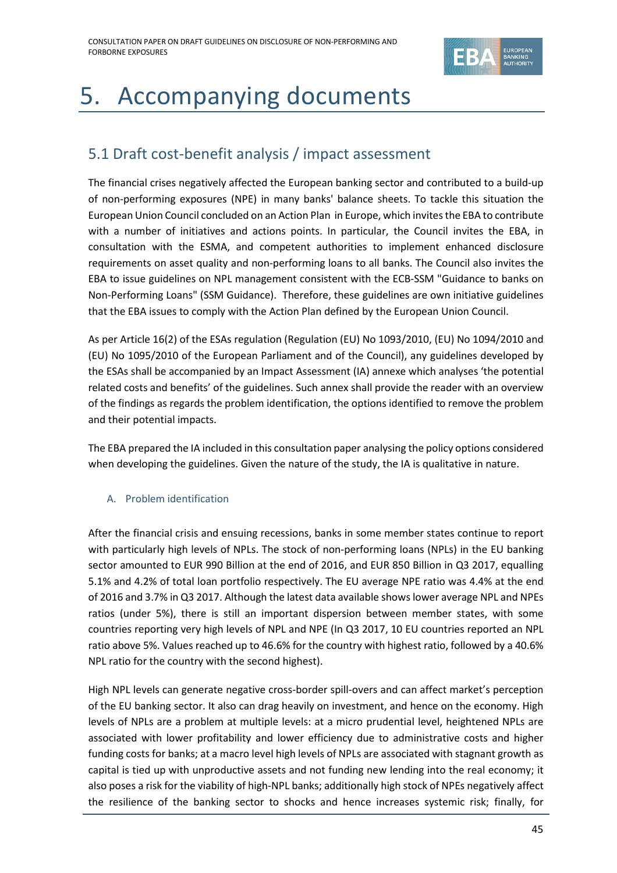

# <span id="page-44-0"></span>5. Accompanying documents

## <span id="page-44-1"></span>5.1 Draft cost-benefit analysis / impact assessment

The financial crises negatively affected the European banking sector and contributed to a build-up of non-performing exposures (NPE) in many banks' balance sheets. To tackle this situation the European Union Council concluded on an Action Plan in Europe, which invites the EBA to contribute with a number of initiatives and actions points. In particular, the Council invites the EBA, in consultation with the ESMA, and competent authorities to implement enhanced disclosure requirements on asset quality and non-performing loans to all banks. The Council also invites the EBA to issue guidelines on NPL management consistent with the ECB-SSM "Guidance to banks on Non-Performing Loans" (SSM Guidance). Therefore, these guidelines are own initiative guidelines that the EBA issues to comply with the Action Plan defined by the European Union Council.

As per Article 16(2) of the ESAs regulation (Regulation (EU) No 1093/2010, (EU) No 1094/2010 and (EU) No 1095/2010 of the European Parliament and of the Council), any guidelines developed by the ESAs shall be accompanied by an Impact Assessment (IA) annexe which analyses 'the potential related costs and benefits' of the guidelines. Such annex shall provide the reader with an overview of the findings as regards the problem identification, the options identified to remove the problem and their potential impacts.

The EBA prepared the IA included in this consultation paper analysing the policy options considered when developing the guidelines. Given the nature of the study, the IA is qualitative in nature.

### A. Problem identification

After the financial crisis and ensuing recessions, banks in some member states continue to report with particularly high levels of NPLs. The stock of non-performing loans (NPLs) in the EU banking sector amounted to EUR 990 Billion at the end of 2016, and EUR 850 Billion in Q3 2017, equalling 5.1% and 4.2% of total loan portfolio respectively. The EU average NPE ratio was 4.4% at the end of 2016 and 3.7% in Q3 2017. Although the latest data available shows lower average NPL and NPEs ratios (under 5%), there is still an important dispersion between member states, with some countries reporting very high levels of NPL and NPE (In Q3 2017, 10 EU countries reported an NPL ratio above 5%. Values reached up to 46.6% for the country with highest ratio, followed by a 40.6% NPL ratio for the country with the second highest).

High NPL levels can generate negative cross-border spill-overs and can affect market's perception of the EU banking sector. It also can drag heavily on investment, and hence on the economy. High levels of NPLs are a problem at multiple levels: at a micro prudential level, heightened NPLs are associated with lower profitability and lower efficiency due to administrative costs and higher funding costs for banks; at a macro level high levels of NPLs are associated with stagnant growth as capital is tied up with unproductive assets and not funding new lending into the real economy; it also poses a risk for the viability of high-NPL banks; additionally high stock of NPEs negatively affect the resilience of the banking sector to shocks and hence increases systemic risk; finally, for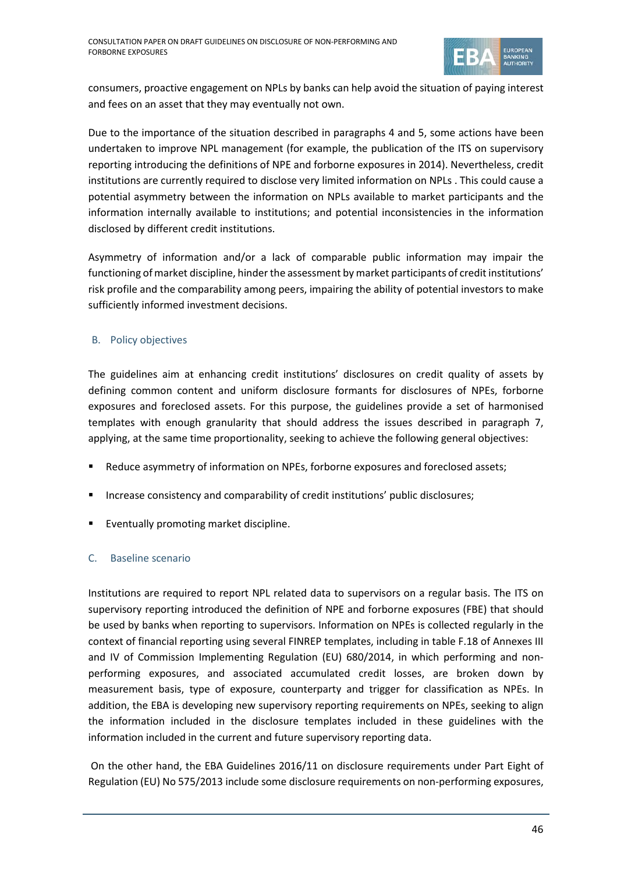

consumers, proactive engagement on NPLs by banks can help avoid the situation of paying interest and fees on an asset that they may eventually not own.

Due to the importance of the situation described in paragraphs 4 and 5, some actions have been undertaken to improve NPL management (for example, the publication of the ITS on supervisory reporting introducing the definitions of NPE and forborne exposures in 2014). Nevertheless, credit institutions are currently required to disclose very limited information on NPLs . This could cause a potential asymmetry between the information on NPLs available to market participants and the information internally available to institutions; and potential inconsistencies in the information disclosed by different credit institutions.

Asymmetry of information and/or a lack of comparable public information may impair the functioning of market discipline, hinder the assessment by market participants of credit institutions' risk profile and the comparability among peers, impairing the ability of potential investors to make sufficiently informed investment decisions.

### B. Policy objectives

The guidelines aim at enhancing credit institutions' disclosures on credit quality of assets by defining common content and uniform disclosure formants for disclosures of NPEs, forborne exposures and foreclosed assets. For this purpose, the guidelines provide a set of harmonised templates with enough granularity that should address the issues described in paragraph 7, applying, at the same time proportionality, seeking to achieve the following general objectives:

- **Reduce asymmetry of information on NPEs, forborne exposures and foreclosed assets;**
- Increase consistency and comparability of credit institutions' public disclosures;
- Eventually promoting market discipline.

### C. Baseline scenario

Institutions are required to report NPL related data to supervisors on a regular basis. The ITS on supervisory reporting introduced the definition of NPE and forborne exposures (FBE) that should be used by banks when reporting to supervisors. Information on NPEs is collected regularly in the context of financial reporting using several FINREP templates, including in table F.18 of Annexes III and IV of Commission Implementing Regulation (EU) 680/2014, in which performing and nonperforming exposures, and associated accumulated credit losses, are broken down by measurement basis, type of exposure, counterparty and trigger for classification as NPEs. In addition, the EBA is developing new supervisory reporting requirements on NPEs, seeking to align the information included in the disclosure templates included in these guidelines with the information included in the current and future supervisory reporting data.

On the other hand, the EBA Guidelines 2016/11 on disclosure requirements under Part Eight of Regulation (EU) No 575/2013 include some disclosure requirements on non-performing exposures,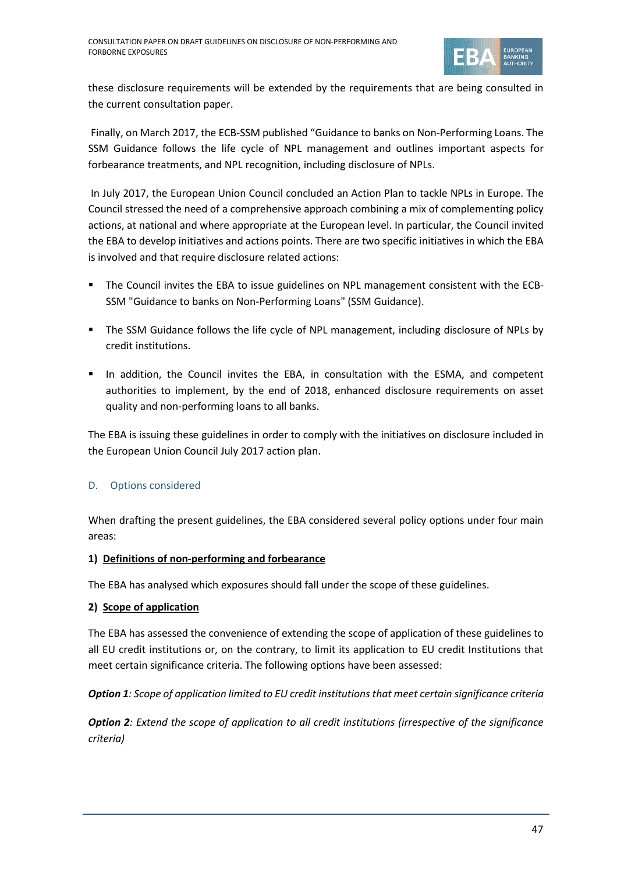

these disclosure requirements will be extended by the requirements that are being consulted in the current consultation paper.

Finally, on March 2017, the ECB-SSM published "Guidance to banks on Non-Performing Loans. The SSM Guidance follows the life cycle of NPL management and outlines important aspects for forbearance treatments, and NPL recognition, including disclosure of NPLs.

In July 2017, the European Union Council concluded an Action Plan to tackle NPLs in Europe. The Council stressed the need of a comprehensive approach combining a mix of complementing policy actions, at national and where appropriate at the European level. In particular, the Council invited the EBA to develop initiatives and actions points. There are two specific initiatives in which the EBA is involved and that require disclosure related actions:

- The Council invites the EBA to issue guidelines on NPL management consistent with the ECB-SSM "Guidance to banks on Non-Performing Loans" (SSM Guidance).
- The SSM Guidance follows the life cycle of NPL management, including disclosure of NPLs by credit institutions.
- In addition, the Council invites the EBA, in consultation with the ESMA, and competent authorities to implement, by the end of 2018, enhanced disclosure requirements on asset quality and non-performing loans to all banks.

The EBA is issuing these guidelines in order to comply with the initiatives on disclosure included in the European Union Council July 2017 action plan.

### D. Options considered

When drafting the present guidelines, the EBA considered several policy options under four main areas:

### **1) Definitions of non-performing and forbearance**

The EBA has analysed which exposures should fall under the scope of these guidelines.

### **2) Scope of application**

The EBA has assessed the convenience of extending the scope of application of these guidelines to all EU credit institutions or, on the contrary, to limit its application to EU credit Institutions that meet certain significance criteria. The following options have been assessed:

*Option 1: Scope of application limited to EU credit institutions that meet certain significance criteria*

*Option 2: Extend the scope of application to all credit institutions (irrespective of the significance criteria)*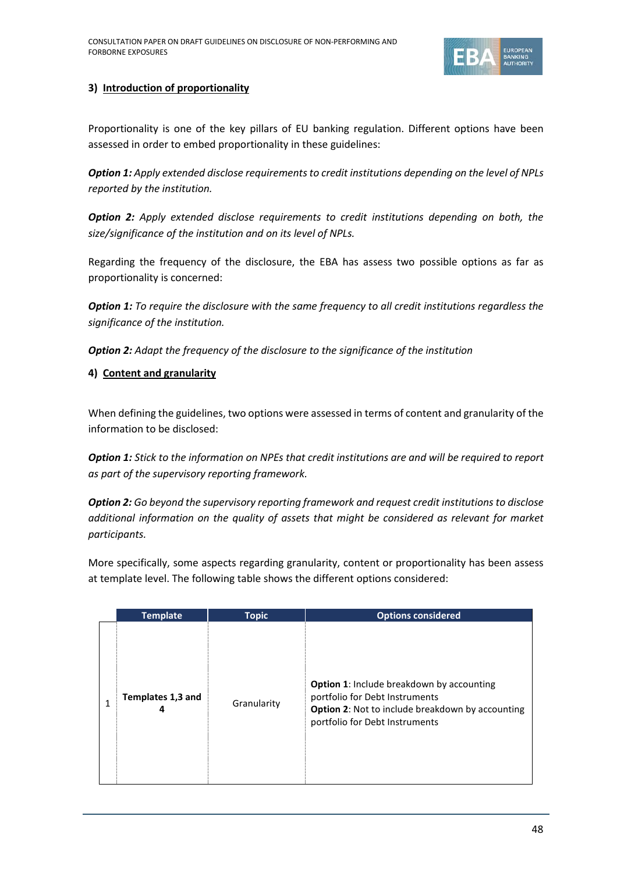

### **3) Introduction of proportionality**

Proportionality is one of the key pillars of EU banking regulation. Different options have been assessed in order to embed proportionality in these guidelines:

*Option 1: Apply extended disclose requirements to credit institutions depending on the level of NPLs reported by the institution.*

*Option 2: Apply extended disclose requirements to credit institutions depending on both, the size/significance of the institution and on its level of NPLs.*

Regarding the frequency of the disclosure, the EBA has assess two possible options as far as proportionality is concerned:

*Option 1: To require the disclosure with the same frequency to all credit institutions regardless the significance of the institution.*

*Option 2: Adapt the frequency of the disclosure to the significance of the institution*

### **4) Content and granularity**

When defining the guidelines, two options were assessed in terms of content and granularity of the information to be disclosed:

*Option 1: Stick to the information on NPEs that credit institutions are and will be required to report as part of the supervisory reporting framework.*

*Option 2: Go beyond the supervisory reporting framework and request credit institutions to disclose additional information on the quality of assets that might be considered as relevant for market participants.*

More specifically, some aspects regarding granularity, content or proportionality has been assess at template level. The following table shows the different options considered:

| <b>Template</b>   | <b>Topic</b> | <b>Options considered</b>                                                                                                                                                       |
|-------------------|--------------|---------------------------------------------------------------------------------------------------------------------------------------------------------------------------------|
| Templates 1,3 and | Granularity  | <b>Option 1:</b> Include breakdown by accounting<br>portfolio for Debt Instruments<br><b>Option 2: Not to include breakdown by accounting</b><br>portfolio for Debt Instruments |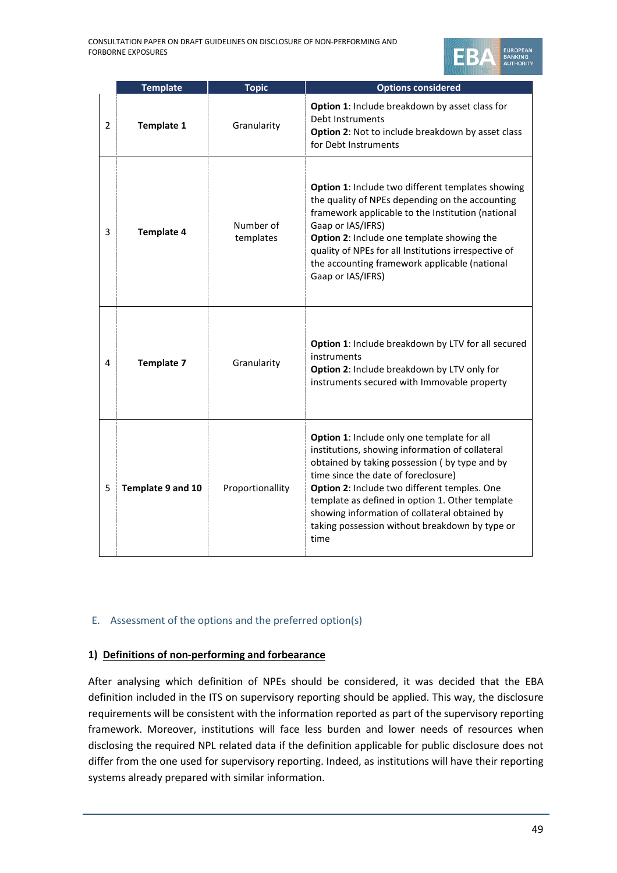

|   | <b>Template</b>   | <b>Topic</b>           | <b>Options considered</b>                                                                                                                                                                                                                                                                                                                                                                            |  |
|---|-------------------|------------------------|------------------------------------------------------------------------------------------------------------------------------------------------------------------------------------------------------------------------------------------------------------------------------------------------------------------------------------------------------------------------------------------------------|--|
| 2 | Template 1        | Granularity            | Option 1: Include breakdown by asset class for<br>Debt Instruments<br>Option 2: Not to include breakdown by asset class<br>for Debt Instruments                                                                                                                                                                                                                                                      |  |
| 3 | <b>Template 4</b> | Number of<br>templates | Option 1: Include two different templates showing<br>the quality of NPEs depending on the accounting<br>framework applicable to the Institution (national<br>Gaap or IAS/IFRS)<br>Option 2: Include one template showing the<br>quality of NPEs for all Institutions irrespective of<br>the accounting framework applicable (national<br>Gaap or IAS/IFRS)                                           |  |
| 4 | <b>Template 7</b> | Granularity            | Option 1: Include breakdown by LTV for all secured<br>instruments<br>Option 2: Include breakdown by LTV only for<br>instruments secured with Immovable property                                                                                                                                                                                                                                      |  |
| 5 | Template 9 and 10 | Proportionallity       | Option 1: Include only one template for all<br>institutions, showing information of collateral<br>obtained by taking possession (by type and by<br>time since the date of foreclosure)<br>Option 2: Include two different temples. One<br>template as defined in option 1. Other template<br>showing information of collateral obtained by<br>taking possession without breakdown by type or<br>time |  |

### E. Assessment of the options and the preferred option(s)

### **1) Definitions of non-performing and forbearance**

After analysing which definition of NPEs should be considered, it was decided that the EBA definition included in the ITS on supervisory reporting should be applied. This way, the disclosure requirements will be consistent with the information reported as part of the supervisory reporting framework. Moreover, institutions will face less burden and lower needs of resources when disclosing the required NPL related data if the definition applicable for public disclosure does not differ from the one used for supervisory reporting. Indeed, as institutions will have their reporting systems already prepared with similar information.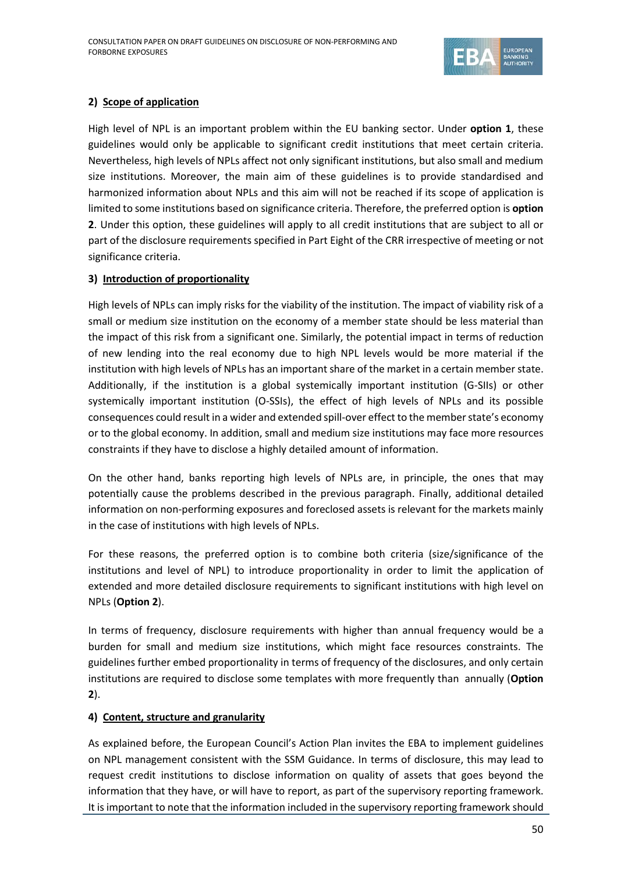

### **2) Scope of application**

High level of NPL is an important problem within the EU banking sector. Under **option 1**, these guidelines would only be applicable to significant credit institutions that meet certain criteria. Nevertheless, high levels of NPLs affect not only significant institutions, but also small and medium size institutions. Moreover, the main aim of these guidelines is to provide standardised and harmonized information about NPLs and this aim will not be reached if its scope of application is limited to some institutions based on significance criteria. Therefore, the preferred option is **option 2**. Under this option, these guidelines will apply to all credit institutions that are subject to all or part of the disclosure requirements specified in Part Eight of the CRR irrespective of meeting or not significance criteria.

### **3) Introduction of proportionality**

High levels of NPLs can imply risks for the viability of the institution. The impact of viability risk of a small or medium size institution on the economy of a member state should be less material than the impact of this risk from a significant one. Similarly, the potential impact in terms of reduction of new lending into the real economy due to high NPL levels would be more material if the institution with high levels of NPLs has an important share of the market in a certain member state. Additionally, if the institution is a global systemically important institution (G-SIIs) or other systemically important institution (O-SSIs), the effect of high levels of NPLs and its possible consequences could result in a wider and extended spill-over effect to the member state's economy or to the global economy. In addition, small and medium size institutions may face more resources constraints if they have to disclose a highly detailed amount of information.

On the other hand, banks reporting high levels of NPLs are, in principle, the ones that may potentially cause the problems described in the previous paragraph. Finally, additional detailed information on non-performing exposures and foreclosed assets is relevant for the markets mainly in the case of institutions with high levels of NPLs.

For these reasons, the preferred option is to combine both criteria (size/significance of the institutions and level of NPL) to introduce proportionality in order to limit the application of extended and more detailed disclosure requirements to significant institutions with high level on NPLs (**Option 2**).

In terms of frequency, disclosure requirements with higher than annual frequency would be a burden for small and medium size institutions, which might face resources constraints. The guidelines further embed proportionality in terms of frequency of the disclosures, and only certain institutions are required to disclose some templates with more frequently than annually (**Option 2**).

### **4) Content, structure and granularity**

As explained before, the European Council's Action Plan invites the EBA to implement guidelines on NPL management consistent with the SSM Guidance. In terms of disclosure, this may lead to request credit institutions to disclose information on quality of assets that goes beyond the information that they have, or will have to report, as part of the supervisory reporting framework. It is important to note that the information included in the supervisory reporting framework should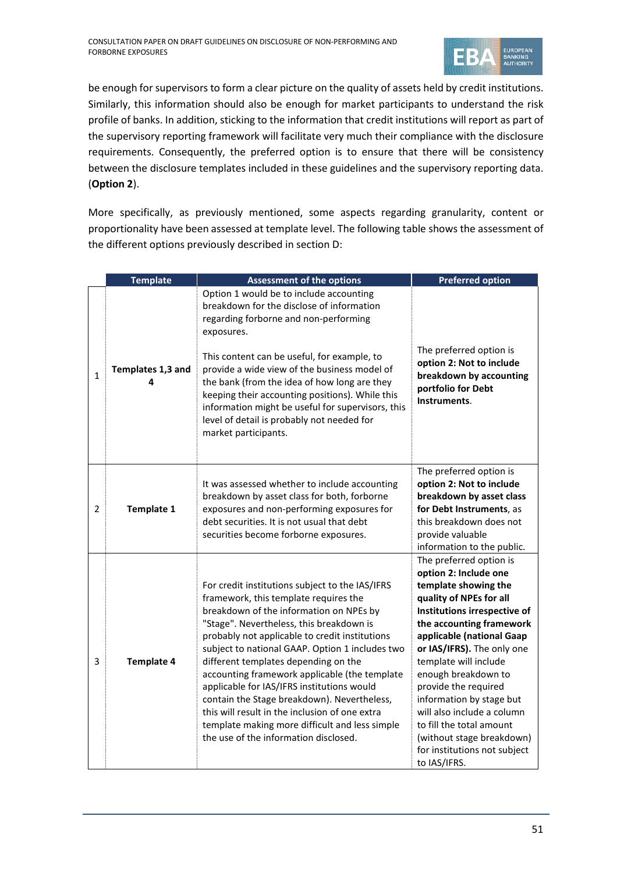

be enough for supervisors to form a clear picture on the quality of assets held by credit institutions. Similarly, this information should also be enough for market participants to understand the risk profile of banks. In addition, sticking to the information that credit institutions will report as part of the supervisory reporting framework will facilitate very much their compliance with the disclosure requirements. Consequently, the preferred option is to ensure that there will be consistency between the disclosure templates included in these guidelines and the supervisory reporting data. (**Option 2**).

More specifically, as previously mentioned, some aspects regarding granularity, content or proportionality have been assessed at template level. The following table shows the assessment of the different options previously described in section D:

|              | <b>Template</b>        | <b>Assessment of the options</b>                                                                                                                                                                                                                                                                                                                                                                                                                                                                                                                                                                                        | <b>Preferred option</b>                                                                                                                                                                                                                                                                                                                                                                                                                                               |
|--------------|------------------------|-------------------------------------------------------------------------------------------------------------------------------------------------------------------------------------------------------------------------------------------------------------------------------------------------------------------------------------------------------------------------------------------------------------------------------------------------------------------------------------------------------------------------------------------------------------------------------------------------------------------------|-----------------------------------------------------------------------------------------------------------------------------------------------------------------------------------------------------------------------------------------------------------------------------------------------------------------------------------------------------------------------------------------------------------------------------------------------------------------------|
| $\mathbf{1}$ | Templates 1,3 and<br>4 | Option 1 would be to include accounting<br>breakdown for the disclose of information<br>regarding forborne and non-performing<br>exposures.<br>This content can be useful, for example, to<br>provide a wide view of the business model of<br>the bank (from the idea of how long are they<br>keeping their accounting positions). While this<br>information might be useful for supervisors, this<br>level of detail is probably not needed for<br>market participants.                                                                                                                                                | The preferred option is<br>option 2: Not to include<br>breakdown by accounting<br>portfolio for Debt<br>Instruments.                                                                                                                                                                                                                                                                                                                                                  |
| 2            | <b>Template 1</b>      | It was assessed whether to include accounting<br>breakdown by asset class for both, forborne<br>exposures and non-performing exposures for<br>debt securities. It is not usual that debt<br>securities become forborne exposures.                                                                                                                                                                                                                                                                                                                                                                                       | The preferred option is<br>option 2: Not to include<br>breakdown by asset class<br>for Debt Instruments, as<br>this breakdown does not<br>provide valuable<br>information to the public.                                                                                                                                                                                                                                                                              |
| 3            | <b>Template 4</b>      | For credit institutions subject to the IAS/IFRS<br>framework, this template requires the<br>breakdown of the information on NPEs by<br>"Stage". Nevertheless, this breakdown is<br>probably not applicable to credit institutions<br>subject to national GAAP. Option 1 includes two<br>different templates depending on the<br>accounting framework applicable (the template<br>applicable for IAS/IFRS institutions would<br>contain the Stage breakdown). Nevertheless,<br>this will result in the inclusion of one extra<br>template making more difficult and less simple<br>the use of the information disclosed. | The preferred option is<br>option 2: Include one<br>template showing the<br>quality of NPEs for all<br>Institutions irrespective of<br>the accounting framework<br>applicable (national Gaap<br>or IAS/IFRS). The only one<br>template will include<br>enough breakdown to<br>provide the required<br>information by stage but<br>will also include a column<br>to fill the total amount<br>(without stage breakdown)<br>for institutions not subject<br>to IAS/IFRS. |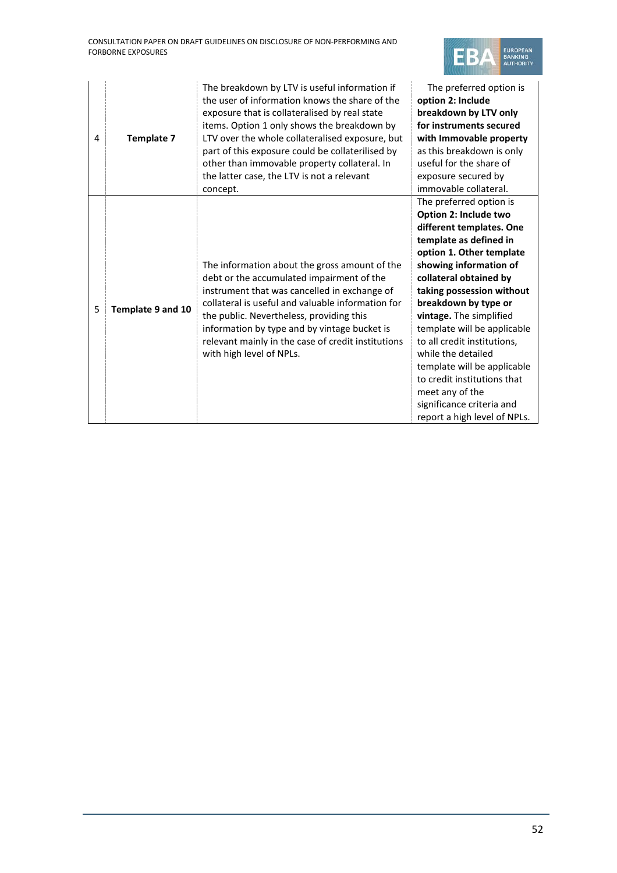

| 4 | <b>Template 7</b> | The breakdown by LTV is useful information if<br>the user of information knows the share of the<br>exposure that is collateralised by real state<br>items. Option 1 only shows the breakdown by<br>LTV over the whole collateralised exposure, but<br>part of this exposure could be collaterilised by<br>other than immovable property collateral. In<br>the latter case, the LTV is not a relevant<br>concept. | The preferred option is<br>option 2: Include<br>breakdown by LTV only<br>for instruments secured<br>with Immovable property<br>as this breakdown is only<br>useful for the share of<br>exposure secured by<br>immovable collateral.                                                                                                                                                                                                                                                                      |
|---|-------------------|------------------------------------------------------------------------------------------------------------------------------------------------------------------------------------------------------------------------------------------------------------------------------------------------------------------------------------------------------------------------------------------------------------------|----------------------------------------------------------------------------------------------------------------------------------------------------------------------------------------------------------------------------------------------------------------------------------------------------------------------------------------------------------------------------------------------------------------------------------------------------------------------------------------------------------|
| 5 | Template 9 and 10 | The information about the gross amount of the<br>debt or the accumulated impairment of the<br>instrument that was cancelled in exchange of<br>collateral is useful and valuable information for<br>the public. Nevertheless, providing this<br>information by type and by vintage bucket is<br>relevant mainly in the case of credit institutions<br>with high level of NPLs.                                    | The preferred option is<br>Option 2: Include two<br>different templates. One<br>template as defined in<br>option 1. Other template<br>showing information of<br>collateral obtained by<br>taking possession without<br>breakdown by type or<br>vintage. The simplified<br>template will be applicable<br>to all credit institutions,<br>while the detailed<br>template will be applicable<br>to credit institutions that<br>meet any of the<br>significance criteria and<br>report a high level of NPLs. |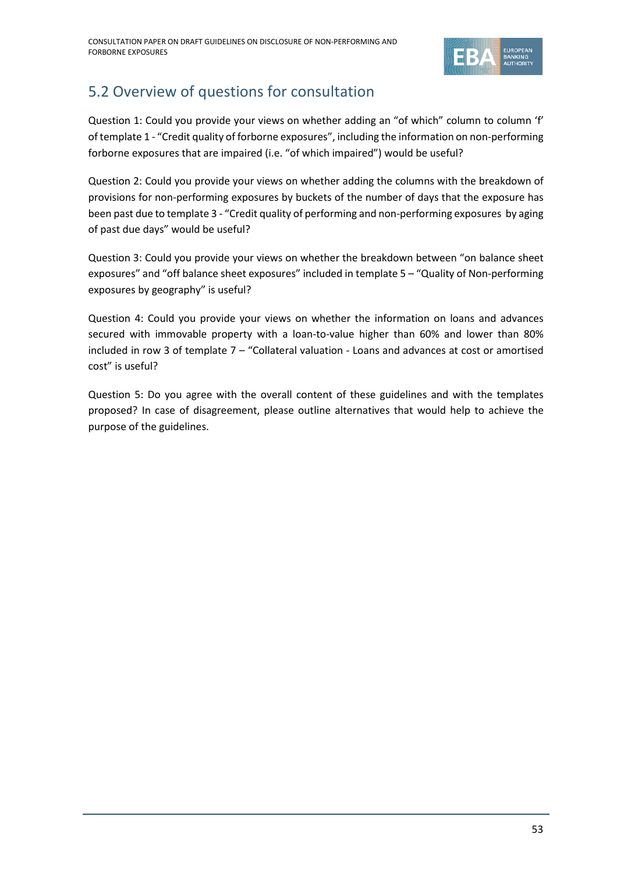

## <span id="page-52-0"></span>5.2 Overview of questions for consultation

Question 1: Could you provide your views on whether adding an "of which" column to column 'f' of template 1 - "Credit quality of forborne exposures", including the information on non-performing forborne exposures that are impaired (i.e. "of which impaired") would be useful?

Question 2: Could you provide your views on whether adding the columns with the breakdown of provisions for non-performing exposures by buckets of the number of days that the exposure has been past due to template 3 - "Credit quality of performing and non-performing exposures by aging of past due days" would be useful?

Question 3: Could you provide your views on whether the breakdown between "on balance sheet exposures" and "off balance sheet exposures" included in template 5 – "Quality of Non-performing exposures by geography" is useful?

Question 4: Could you provide your views on whether the information on loans and advances secured with immovable property with a loan-to-value higher than 60% and lower than 80% included in row 3 of template 7 – "Collateral valuation - Loans and advances at cost or amortised cost" is useful?

Question 5: Do you agree with the overall content of these guidelines and with the templates proposed? In case of disagreement, please outline alternatives that would help to achieve the purpose of the guidelines.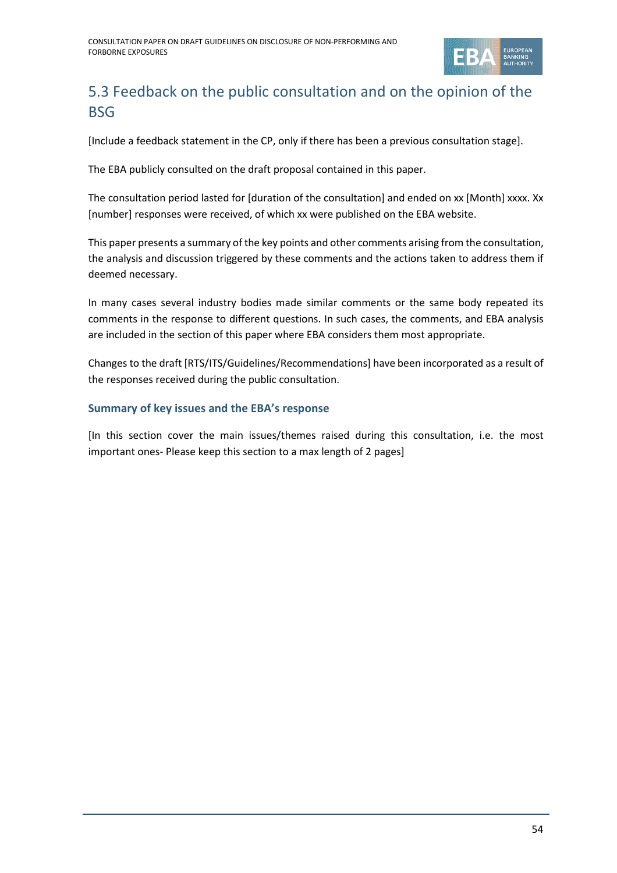

## <span id="page-53-0"></span>5.3 Feedback on the public consultation and on the opinion of the BSG

[Include a feedback statement in the CP, only if there has been a previous consultation stage].

The EBA publicly consulted on the draft proposal contained in this paper.

The consultation period lasted for [duration of the consultation] and ended on xx [Month] xxxx. Xx [number] responses were received, of which xx were published on the EBA website.

This paper presents a summary of the key points and other comments arising from the consultation, the analysis and discussion triggered by these comments and the actions taken to address them if deemed necessary.

In many cases several industry bodies made similar comments or the same body repeated its comments in the response to different questions. In such cases, the comments, and EBA analysis are included in the section of this paper where EBA considers them most appropriate.

Changes to the draft [RTS/ITS/Guidelines/Recommendations] have been incorporated as a result of the responses received during the public consultation.

### **Summary of key issues and the EBA's response**

[In this section cover the main issues/themes raised during this consultation, i.e. the most important ones- Please keep this section to a max length of 2 pages]